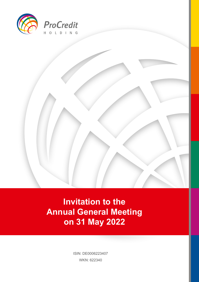

**Invitation to the Annual General Meeting and Annual General Meeting and Annual Seneral Meeting and Annual Seneral Annual Seneral Annual Seneral Annual Seneral Annual Seneral Meeting and Annual Seneral Annual Seneral Annual Seneral Annual S am 31 May 2022** 

> ISIN: DE0006223407 WKN: 622340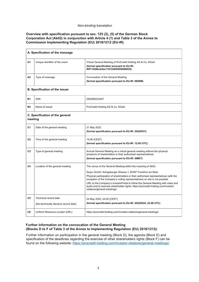#### *Non-binding translation*

#### **Overview with specification pursuant to sec. 125 (2), (5) of the German Stock Corporation Act (AktG) in conjunction with Article 4 (1) and Table 3 of the Annex to Commission Implementing Regulation (EU) 2018/1212 (EU-IR)**

| A. Specification of the message            |                                                                 |                                                                                                                                                                                                                                                                                                                                                                                                                                                                                                           |  |  |  |
|--------------------------------------------|-----------------------------------------------------------------|-----------------------------------------------------------------------------------------------------------------------------------------------------------------------------------------------------------------------------------------------------------------------------------------------------------------------------------------------------------------------------------------------------------------------------------------------------------------------------------------------------------|--|--|--|
| A1                                         | Unique identifier of the event                                  | Virtual General Meeting of ProCredit Holding AG & Co. KGaA<br>(formal specification pursuant to EU-IR:<br>80f11628bcb5ec11812d005056888925)                                                                                                                                                                                                                                                                                                                                                               |  |  |  |
| A2                                         | Type of message                                                 | Convocation of the General Meeting<br>(formal specification pursuant to EU-IR: NEWM)                                                                                                                                                                                                                                                                                                                                                                                                                      |  |  |  |
| <b>B. Specification of the issuer</b>      |                                                                 |                                                                                                                                                                                                                                                                                                                                                                                                                                                                                                           |  |  |  |
| <b>B1</b>                                  | <b>ISIN</b>                                                     | DE0006223407                                                                                                                                                                                                                                                                                                                                                                                                                                                                                              |  |  |  |
| <b>B2</b>                                  | Name of issuer                                                  | ProCredit Holding AG & Co. KGaA                                                                                                                                                                                                                                                                                                                                                                                                                                                                           |  |  |  |
| C. Specification of the general<br>meeting |                                                                 |                                                                                                                                                                                                                                                                                                                                                                                                                                                                                                           |  |  |  |
| C <sub>1</sub>                             | Date of the general meeting                                     | 31 May 2022<br>(formal specification pursuant to EU-IR: 20220531)                                                                                                                                                                                                                                                                                                                                                                                                                                         |  |  |  |
| C <sub>2</sub>                             | Time of the general meeting                                     | 14:00 (CEST)<br>(formal specification pursuant to EU-IR: 12:00 UTC)                                                                                                                                                                                                                                                                                                                                                                                                                                       |  |  |  |
| C <sub>3</sub>                             | Type of general meeting                                         | Annual General Meeting as a virtual general meeting without the physical<br>presence of shareholders or their authorised representatives<br>(formal specification pursuant to EU-IR: GMET)                                                                                                                                                                                                                                                                                                                |  |  |  |
| C <sub>4</sub>                             | Location of the general meeting                                 | The venue of the General Meeting within the meaning of AktG:<br>Quipu GmbH, Königsberger Strasse 1, 60487 Frankfurt am Main<br>Physical participation of shareholders or their authorised representatives (with the<br>exception of the Company's voting representatives) on site is not possible<br>URL to the Company's InvestorPortal to follow the General Meeting with video and<br>audio and to exercise shareholder rights: https://procredit-holding.com/investor-<br>relations/general-meetings/ |  |  |  |
| C <sub>5</sub>                             | Technical record date<br>(the technically decisive record date) | 24 May 2022, 24:00 (CEST)<br>(formal specification pursuant to EU-IR: 20220524; 22:00 UTC)                                                                                                                                                                                                                                                                                                                                                                                                                |  |  |  |
| C <sub>6</sub>                             | Uniform Resource Locator (URL)                                  | https://procredit-holding.com/investor-relations/general-meetings/                                                                                                                                                                                                                                                                                                                                                                                                                                        |  |  |  |

### **Further information on the convocation of the General Meeting (Blocks D to F of Table 3 of the Annex to Implementing Regulation (EU) 2018/1212):**

Further information on participation in the general meeting (Block D), the agenda (Block E) and specification of the deadlines regarding the exercise of other shareholders rights (Block F) can be found on the following website: [https://procredit-holding.com/investor-relations/general-meetings/.](https://procredit-holding.com/investor-relations/general-meetings/)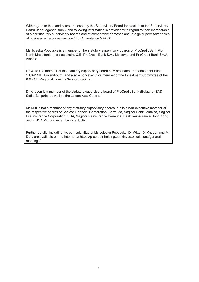With regard to the candidates proposed by the Supervisory Board for election to the Supervisory Board under agenda item 7, the following information is provided with regard to their membership of other statutory supervisory boards and of comparable domestic and foreign supervisory bodies of business enterprises (section 125 (1) sentence 5 AktG):

Ms Joleska Popovska is a member of the statutory supervisory boards of ProCredit Bank AD, North Macedonia (here as chair), C.B. ProCredit Bank S.A., Moldova, and ProCredit Bank SH.A, Albania.

Dr Witte is a member of the statutory supervisory board of Microfinance Enhancement Fund SICAV SIF, Luxembourg, and also a non-executive member of the Investment Committee of the KfW-ATI Regional Liquidity Support Facility.

Dr Knapen is a member of the statutory supervisory board of ProCredit Bank (Bulgaria) EAD, Sofia, Bulgaria, as well as the Leiden Asia Centre.

Mr Dutt is not a member of any statutory supervisory boards, but is a non-executive member of the respective boards of Sagicor Financial Corporation, Bermuda, Sagicor Bank Jamaica, Sagicor Life Insurance Corporation, USA, Sagicor Reinsurance Bermuda, Peak Reinsurance Hong Kong and FINCA Microfinance Holdings, USA.

Further details, including the curricula vitae of Ms Joleska Popovska, Dr Witte, Dr Knapen and Mr Dutt, are available on the Internet at https://procredit-holding.com/investor-relations/generalmeetings/.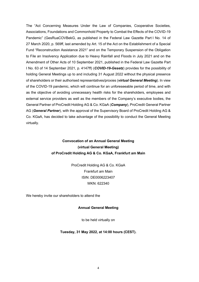The "Act Concerning Measures Under the Law of Companies, Cooperative Societies, Associations, Foundations and Commonhold Property to Combat the Effects of the COVID-19 Pandemic" (GesRuaCOVBekG, as published in the Federal Law Gazette Part I No. 14 of 27 March 2020, p. 569ff, last amended by Art. 15 of the Act on the Establishment of a Special Fund "Reconstruction Assistance 2021" and on the Temporary Suspension of the Obligation to File an Insolvency Application due to Heavy Rainfall and Floods in July 2021 and on the Amendment of Other Acts of 10 September 2021, published in the Federal Law Gazette Part I No. 63 of 14 September 2021, p. 4147ff) (*COVID-19-Gesetz*) provides for the possibility of holding General Meetings up to and including 31 August 2022 without the physical presence of shareholders or their authorised representatives/proxies (*virtual General Meeting*). In view of the COVID-19 pandemic, which will continue for an unforeseeable period of time, and with as the objective of avoiding unnecessary health risks for the shareholders, employees and external service providers as well as the members of the Company's executive bodies, the General Partner of ProCredit Holding AG & Co. KGaA (*Company*), ProCredit General Partner AG (*General Partner*), with the approval of the Supervisory Board of ProCredit Holding AG & Co. KGaA, has decided to take advantage of the possibility to conduct the General Meeting virtually.

# **Convocation of an Annual General Meeting (virtual General Meeting) of ProCredit Holding AG & Co. KGaA, Frankfurt am Main**

ProCredit Holding AG & Co. KGaA Frankfurt am Main ISIN: DE0006223407 WKN: 622340

We hereby invite our shareholders to attend the

#### **Annual General Meeting**

to be held virtually on

#### **Tuesday, 31 May 2022, at 14:00 hours (CEST).**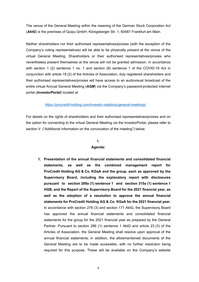The venue of the General Meeting within the meaning of the German Stock Corporation Act (*AktG*) is the premises of Quipu GmbH, Königsberger Str. 1, 60487 Frankfurt am Main.

Neither shareholders nor their authorised representatives/proxies (with the exception of the Company's voting representatives) will be able to be physically present at the venue of the virtual General Meeting. Shareholders or their authorised representatives/proxies who nevertheless present themselves at the venue will not be granted admission. In accordance with section 1 (2) sentence 1 no. 1 and section (8) sentence 1 of the COVID-19 Act in conjunction with article 19 (2) of the Articles of Association, duly registered shareholders and their authorised representatives/proxies will have access to an audiovisual broadcast of the entire virtual Annual General Meeting (*AGM*) via the Company's password-protected Internet portal (*InvestorPortal*) located at

#### <https://procredit-holding.com/investor-relations/general-meetings/>

For details on the rights of shareholders and their authorised representatives/proxies and on the option for connecting to the virtual General Meeting via the InvestorPortal, please refer to section V. ("Additional information on the convocation of the meeting") below.

### **I.**

#### **Agenda:**

**1. Presentation of the annual financial statements and consolidated financial statements, as well as the combined management report for ProCredit Holding AG & Co. KGaA and the group, each as approved by the Supervisory Board, including the explanatory report with disclosures pursuant to section 289a (1) sentence 1 and section 315a (1) sentence 1 HGB, and the Report of the Supervisory Board for the 2021 financial year, as well as the adoption of a resolution to approve the annual financial statements for ProCredit Holding AG & Co. KGaA for the 2021 financial year.**  In accordance with section 278 (3) and section 171 AktG, the Supervisory Board has approved the annual financial statements and consolidated financial statements for the group for the 2021 financial year as prepared by the General Partner. Pursuant to section 286 (1) sentence 1 AktG and article 23 (3) of the Articles of Association, the General Meeting shall resolve upon approval of the annual financial statements; in addition, the aforementioned documents of the General Meeting are to be made accessible, with no further resolution being required for this purpose. These will be available on the Company's website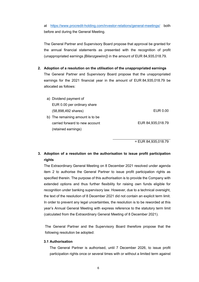at <https://www.procredit-holding.com/investor-relations/general-meetings/> both before and during the General Meeting.

The General Partner and Supervisory Board propose that approval be granted for the annual financial statements as presented with the recognition of profit (unappropriated earnings *[Bilanzgewinn]*) in the amount of EUR 84,935,018.79.

- **2. Adoption of a resolution on the utilisation of the unappropriated earnings** The General Partner and Supervisory Board propose that the unappropriated earnings for the 2021 financial year in the amount of EUR 84,935,018.79 be allocated as follows:
	- a) Dividend payment of EUR 0.00 per ordinary share (58,898,492 shares) EUR 0.00 b) The remaining amount is to be carried forward to new account (retained earnings) EUR 84,935,018.79

= EUR 84,935,018.79

# **3. Adoption of a resolution on the authorisation to issue profit participation rights**

The Extraordinary General Meeting on 8 December 2021 resolved under agenda item 2 to authorise the General Partner to issue profit participation rights as specified therein. The purpose of this authorisation is to provide the Company with extended options and thus further flexibility for raising own funds eligible for recognition under banking supervisory law. However, due to a technical oversight, the text of the resolution of 8 December 2021 did not contain an explicit term limit. In order to prevent any legal uncertainties, the resolution is to be reworded at this year's Annual General Meeting with express reference to the statutory term limit (calculated from the Extraordinary General Meeting of 8 December 2021).

The General Partner and the Supervisory Board therefore propose that the following resolution be adopted:

#### **3.1 Authorisation**

The General Partner is authorised, until 7 December 2026, to issue profit participation rights once or several times with or without a limited term against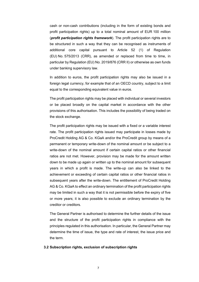cash or non-cash contributions (including in the form of existing bonds and profit participation rights) up to a total nominal amount of EUR 100 million (*profit participation rights framework*). The profit participation rights are to be structured in such a way that they can be recognised as instruments of additional core capital pursuant to Article 52 (1) of Regulation (EU) No. 575/2013 (CRR), as amended or replaced from time to time, in particular by Regulation (EU) No. 2019/876 (CRR II) or otherwise as own funds under banking supervisory law.

In addition to euros, the profit participation rights may also be issued in a foreign legal currency, for example that of an OECD country, subject to a limit equal to the corresponding equivalent value in euros.

The profit participation rights may be placed with individual or several investors or be placed broadly on the capital market in accordance with the other provisions of this authorisation. This includes the possibility of being traded on the stock exchange.

The profit participation rights may be issued with a fixed or a variable interest rate. The profit participation rights issued may participate in losses made by ProCredit Holding AG & Co. KGaA and/or the ProCredit group by means of a permanent or temporary write-down of the nominal amount or be subject to a write-down of the nominal amount if certain capital ratios or other financial ratios are not met. However, provision may be made for the amount written down to be made up again or written up to the nominal amount for subsequent years in which a profit is made. The write-up can also be linked to the achievement or exceeding of certain capital ratios or other financial ratios in subsequent years after the write-down. The entitlement of ProCredit Holding AG & Co. KGaA to effect an ordinary termination of the profit participation rights may be limited in such a way that it is not permissible before the expiry of five or more years; it is also possible to exclude an ordinary termination by the creditor or creditors.

The General Partner is authorised to determine the further details of the issue and the structure of the profit participation rights in compliance with the principles regulated in this authorisation. In particular, the General Partner may determine the time of issue, the type and rate of interest, the issue price and the term.

#### **3.2 Subscription rights, exclusion of subscription rights**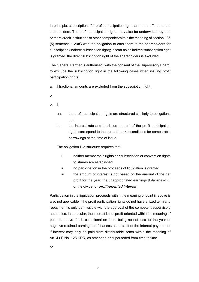In principle, subscriptions for profit participation rights are to be offered to the shareholders. The profit participation rights may also be underwritten by one or more credit institutions or other companies within the meaning of section 186 (5) sentence 1 AktG with the obligation to offer them to the shareholders for subscription (indirect subscription right); insofar as an indirect subscription right is granted, the direct subscription right of the shareholders is excluded.

The General Partner is authorised, with the consent of the Supervisory Board, to exclude the subscription right in the following cases when issuing profit participation rights:

a. if fractional amounts are excluded from the subscription right

or

- b. if
	- aa. the profit participation rights are structured similarly to obligations and
	- bb. the interest rate and the issue amount of the profit participation rights correspond to the current market conditions for comparable borrowings at the time of issue

The obligation-like structure requires that

- i. neither membership rights nor subscription or conversion rights to shares are established
- ii. no participation in the proceeds of liquidation is granted
- iii. the amount of interest is not based on the amount of the net profit for the year, the unappropriated earnings [*Bilanzgewinn*] or the dividend (*profit-oriented interest*)

Participation in the liquidation proceeds within the meaning of point ii. above is also not applicable if the profit participation rights do not have a fixed term and repayment is only permissible with the approval of the competent supervisory authorities. In particular, the interest is not profit-oriented within the meaning of point iii. above if it is conditional on there being no net loss for the year or negative retained earnings or if it arises as a result of the interest payment or if interest may only be paid from distributable items within the meaning of Art. 4 (1) No. 128 CRR, as amended or superseded from time to time

or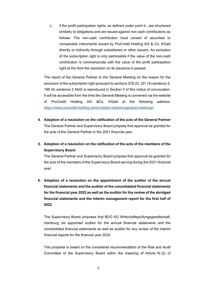c. if the profit participation rights, as defined under point b., are structured similarly to obligations and are issued against non-cash contributions as follows: The non-cash contribution must consist of securities or comparable instruments issued by ProCredit Holding AG & Co. KGaA directly or indirectly through subsidiaries or other issuers. An exclusion of the subscription right is only permissible if the value of the non-cash contribution is commensurate with the value of the profit participation right at the time the resolution on its issuance is passed.

The report of the General Partner to the General Meeting on the reason for the exclusion of the subscription right pursuant to sections 278 (3), 221 (4) sentence 2, 186 (4) sentence 2 AktG is reproduced in Section II of this notice of convocation. It will be accessible from the time the General Meeting is convened via the website of ProCredit Holding AG &Co. KGaA at the following address: [https://www.procredit-holding.com/investor-relations/general-meetings/.](https://www.procredit-holding.com/investor-relations/general-meetings/)

- **4. Adoption of a resolution on the ratification of the acts of the General Partner** The General Partner and Supervisory Board propose that approval be granted for the acts of the General Partner in the 2021 financial year.
- **5. Adoption of a resolution on the ratification of the acts of the members of the Supervisory Board**

The General Partner and Supervisory Board propose that approval be granted for the acts of the members of the Supervisory Board serving during the 2021 financial year.

**6. Adoption of a resolution on the appointment of the auditor of the annual financial statements and the auditor of the consolidated financial statements for the financial year 2022 as well as the auditor for the review of the abridged financial statements and the interim management report for the first half of 2022**

The Supervisory Board proposes that BDO AG Wirtschaftsprüfungsgesellschaft, Hamburg, be appointed auditor for the annual financial statements and the consolidated financial statements as well as auditor for any review of the interim financial reports for the financial year 2022.

This proposal is based on the considered recommendation of the Risk and Audit Committee of the Supervisory Board within the meaning of Article 16 (2) of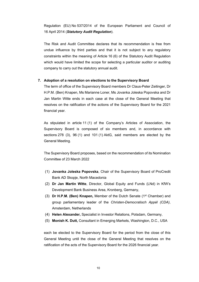Regulation (EU) No 537/2014 of the European Parliament and Council of 16 April 2014 (*Statutory Audit Regulation*).

The Risk and Audit Committee declares that its recommendation is free from undue influence by third parties and that it is not subject to any regulatory constraints within the meaning of Article 16 (6) of the Statutory Audit Regulation which would have limited the scope for selecting a particular auditor or auditing company to carry out the statutory annual audit.

### **7. Adoption of a resolution on elections to the Supervisory Board**

The term of office of the Supervisory Board members Dr Claus-Peter Zeitinger, Dr H.P.M. (Ben) Knapen, Ms Marianne Loner, Ms Jovanka Joleska Popovska and Dr Jan Martin Witte ends in each case at the close of the General Meeting that resolves on the ratification of the actions of the Supervisory Board for the 2021 financial year.

As stipulated in article 11 (1) of the Company's Articles of Association, the Supervisory Board is composed of six members and, in accordance with sections 278 (3), 96 (1) and 101 (1) AktG, said members are elected by the General Meeting.

The Supervisory Board proposes, based on the recommendation of its Nomination Committee of 23 March 2022

- (1) **Jovanka Joleska Popovska**, Chair of the Supervisory Board of ProCredit Bank AD Skopje, North Macedonia
- (2) **Dr Jan Martin Witte**, Director, Global Equity and Funds (LNd) in KfW's Development Bank Business Area, Kronberg, Germany,
- (3) **Dr H.P.M. (Ben) Knapen,** Member of the Dutch Senate (1st Chamber) and group parliamentary leader of the *Christen-Democratisch Appèl (CDA)*, Amsterdam, Netherlands
- (4) **Helen Alexander,** Specialist in Investor Relations, Potsdam, Germany,
- (5) **Monish K. Dutt,** Consultant in Emerging Markets, Washington, D.C., USA

each be elected to the Supervisory Board for the period from the close of this General Meeting until the close of the General Meeting that resolves on the ratification of the acts of the Supervisory Board for the 2026 financial year.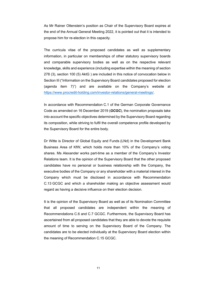As Mr Rainer Ottenstein's position as Chair of the Supervisory Board expires at the end of the Annual General Meeting 2022, it is pointed out that it is intended to propose him for re-election in this capacity.

The curricula vitae of the proposed candidates as well as supplementary information, in particular on memberships of other statutory supervisory boards and comparable supervisory bodies as well as on the respective relevant knowledge, skills and experience (including expertise within the meaning of section 278 (3), section 100 (5) AktG ) are included in this notice of convocation below in Section III ("Information on the Supervisory Board candidates proposed for election (agenda item 7)") and are available on the Company's website at [https://www.procredit-holding.com/investor-relations/general-meetings/.](https://www.procredit-holding.com/investor-relations/general-meetings/)

In accordance with Recommendation C.1 of the German Corporate Governance Code as amended on 16 December 2019 (*GCGC*), the nomination proposals take into account the specific objectives determined by the Supervisory Board regarding its composition, while striving to fulfil the overall competence profile developed by the Supervisory Board for the entire body.

Dr Witte is Director of Global Equity and Funds (LNd) in the Development Bank Business Area of KfW, which holds more than 10% of the Company's voting shares. Ms Alexander works part-time as a member of the Company's Investor Relations team. It is the opinion of the Supervisory Board that the other proposed candidates have no personal or business relationship with the Company, the executive bodies of the Company or any shareholder with a material interest in the Company which must be disclosed in accordance with Recommendation C.13 GCGC and which a shareholder making an objective assessment would regard as having a decisive influence on their election decision.

It is the opinion of the Supervisory Board as well as of its Nomination Committee that all proposed candidates are independent within the meaning of Recommendations C.6 and C.7 GCGC. Furthermore, the Supervisory Board has ascertained from all proposed candidates that they are able to devote the requisite amount of time to serving on the Supervisory Board of the Company. The candidates are to be elected individually at the Supervisory Board election within the meaning of Recommendation C.15 GCGC.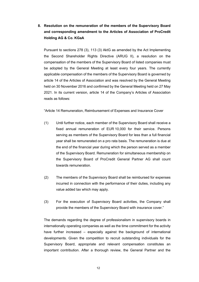**8. Resolution on the remuneration of the members of the Supervisory Board and corresponding amendment to the Articles of Association of ProCredit Holding AG & Co. KGaA**

Pursuant to sections 278 (3), 113 (3) AktG as amended by the Act Implementing the Second Shareholder Rights Directive (ARUG II), a resolution on the compensation of the members of the Supervisory Board of listed companies must be adopted by the General Meeting at least every four years. The currently applicable compensation of the members of the Supervisory Board is governed by article 14 of the Articles of Association and was resolved by the General Meeting held on 30 November 2016 and confirmed by the General Meeting held on 27 May 2021. In its current version, article 14 of the Company's Articles of Association reads as follows:

"Article 14 Remuneration, Reimbursement of Expenses and Insurance Cover

- (1) Until further notice, each member of the Supervisory Board shall receive a fixed annual remuneration of EUR 10,000 for their service. Persons serving as members of the Supervisory Board for less than a full financial year shall be remunerated on a pro rata basis. The remuneration is due at the end of the financial year during which the person served as a member of the Supervisory Board. Remuneration for simultaneous membership on the Supervisory Board of ProCredit General Partner AG shall count towards remuneration.
- (2) The members of the Supervisory Board shall be reimbursed for expenses incurred in connection with the performance of their duties, including any value added tax which may apply.
- (3) For the execution of Supervisory Board activities, the Company shall provide the members of the Supervisory Board with insurance cover."

The demands regarding the degree of professionalism in supervisory boards in internationally operating companies as well as the time commitment for the activity have further increased – especially against the background of international developments. Given the competition to recruit outstanding individuals for the Supervisory Board, appropriate and relevant compensation constitutes an important contribution. After a thorough review, the General Partner and the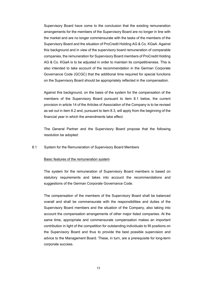Supervisory Board have come to the conclusion that the existing remuneration arrangements for the members of the Supervisory Board are no longer in line with the market and are no longer commensurate with the tasks of the members of the Supervisory Board and the situation of ProCredit Holding AG & Co. KGaA. Against this background and in view of the supervisory board remuneration of comparable companies, the remuneration for Supervisory Board members of ProCredit Holding AG & Co. KGaA is to be adjusted in order to maintain its competitiveness. This is also intended to take account of the recommendation in the German Corporate Governance Code (GCGC) that the additional time required for special functions on the Supervisory Board should be appropriately reflected in the compensation.

Against this background, on the basis of the system for the compensation of the members of the Supervisory Board pursuant to item 8.1 below, the current provision in article 14 of the Articles of Association of the Company is to be revised as set out in item 8.2 and, pursuant to item 8.3, will apply from the beginning of the financial year in which the amendments take effect.

The General Partner and the Supervisory Board propose that the following resolution be adopted:

#### 8.1 System for the Remuneration of Supervisory Board Members

#### Basic features of the remuneration system

The system for the remuneration of Supervisory Board members is based on statutory requirements and takes into account the recommendations and suggestions of the German Corporate Governance Code.

The compensation of the members of the Supervisory Board shall be balanced overall and shall be commensurate with the responsibilities and duties of the Supervisory Board members and the situation of the Company, also taking into account the compensation arrangements of other major listed companies. At the same time, appropriate and commensurate compensation makes an important contribution in light of the competition for outstanding individuals to fill positions on the Supervisory Board and thus to provide the best possible supervision and advice to the Management Board. These, in turn, are a prerequisite for long-term corporate success.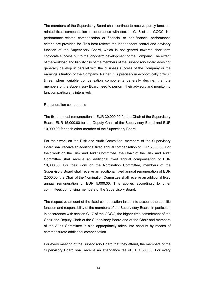The members of the Supervisory Board shall continue to receive purely functionrelated fixed compensation in accordance with section G.18 of the GCGC. No performance-related compensation or financial or non-financial performance criteria are provided for. This best reflects the independent control and advisory function of the Supervisory Board, which is not geared towards short-term corporate success but to the long-term development of the Company. The extent of the workload and liability risk of the members of the Supervisory Board does not generally develop in parallel with the business success of the Company or the earnings situation of the Company. Rather, it is precisely in economically difficult times, when variable compensation components generally decline, that the members of the Supervisory Board need to perform their advisory and monitoring function particularly intensively.

#### Remuneration components

The fixed annual remuneration is EUR 30,000.00 for the Chair of the Supervisory Board, EUR 15,000.00 for the Deputy Chair of the Supervisory Board and EUR 10,000.00 for each other member of the Supervisory Board.

For their work on the Risk and Audit Committee, members of the Supervisory Board shall receive an additional fixed annual compensation of EUR 5,000.00. For their work on the Risk and Audit Committee, the Chair of the Risk and Audit Committee shall receive an additional fixed annual compensation of EUR 10,000.00. For their work on the Nomination Committee, members of the Supervisory Board shall receive an additional fixed annual remuneration of EUR 2,500.00; the Chair of the Nomination Committee shall receive an additional fixed annual remuneration of EUR 5,000.00. This applies accordingly to other committees comprising members of the Supervisory Board.

The respective amount of the fixed compensation takes into account the specific function and responsibility of the members of the Supervisory Board. In particular, in accordance with section G.17 of the GCGC, the higher time commitment of the Chair and Deputy Chair of the Supervisory Board and of the Chair and members of the Audit Committee is also appropriately taken into account by means of commensurate additional compensation.

For every meeting of the Supervisory Board that they attend, the members of the Supervisory Board shall receive an attendance fee of EUR 500.00. For every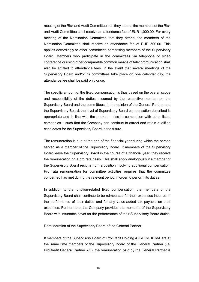meeting of the Risk and Audit Committee that they attend, the members of the Risk and Audit Committee shall receive an attendance fee of EUR 1,000.00. For every meeting of the Nomination Committee that they attend, the members of the Nomination Committee shall receive an attendance fee of EUR 500.00. This applies accordingly to other committees comprising members of the Supervisory Board. Members who participate in the committees via telephone or video conference or using other comparable common means of telecommunication shall also be entitled to attendance fees. In the event that several meetings of the Supervisory Board and/or its committees take place on one calendar day, the attendance fee shall be paid only once.

The specific amount of the fixed compensation is thus based on the overall scope and responsibility of the duties assumed by the respective member on the Supervisory Board and the committees. In the opinion of the General Partner and the Supervisory Board, the level of Supervisory Board compensation described is appropriate and in line with the market – also in comparison with other listed companies – such that the Company can continue to attract and retain qualified candidates for the Supervisory Board in the future.

The remuneration is due at the end of the financial year during which the person served as a member of the Supervisory Board. If members of the Supervisory Board leave the Supervisory Board in the course of a financial year, they receive the remuneration on a pro rata basis. This shall apply analogously if a member of the Supervisory Board resigns from a position involving additional compensation. Pro rata remuneration for committee activities requires that the committee concerned has met during the relevant period in order to perform its duties.

In addition to the function-related fixed compensation, the members of the Supervisory Board shall continue to be reimbursed for their expenses incurred in the performance of their duties and for any value-added tax payable on their expenses. Furthermore, the Company provides the members of the Supervisory Board with insurance cover for the performance of their Supervisory Board duties.

#### Remuneration of the Supervisory Board of the General Partner

If members of the Supervisory Board of ProCredit Holding AG & Co. KGaA are at the same time members of the Supervisory Board of the General Partner (i.e. ProCredit General Partner AG), the remuneration paid by the General Partner is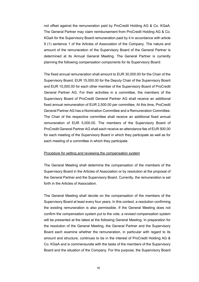not offset against the remuneration paid by ProCredit Holding AG & Co. KGaA. The General Partner may claim reimbursement from ProCredit Holding AG & Co. KGaA for the Supervisory Board remuneration paid by it in accordance with article 9 (1) sentence 1 of the Articles of Association of the Company. The nature and amount of the remuneration of the Supervisory Board of the General Partner is determined at its Annual General Meeting. The General Partner is currently planning the following compensation components for its Supervisory Board:

The fixed annual remuneration shall amount to EUR 30,000.00 for the Chair of the Supervisory Board, EUR 15,000.00 for the Deputy Chair of the Supervisory Board and EUR 10,000.00 for each other member of the Supervisory Board of ProCredit General Partner AG. For their activities in a committee, the members of the Supervisory Board of ProCredit General Partner AG shall receive an additional fixed annual remuneration of EUR 2,500.00 per committee. At this time, ProCredit General Partner AG has a Nomination Committee and a Remuneration Committee. The Chair of the respective committee shall receive an additional fixed annual remuneration of EUR 5,000.00. The members of the Supervisory Board of ProCredit General Partner AG shall each receive an attendance fee of EUR 500.00 for each meeting of the Supervisory Board in which they participate as well as for each meeting of a committee in which they participate.

#### Procedure for setting and reviewing the compensation system

The General Meeting shall determine the compensation of the members of the Supervisory Board in the Articles of Association or by resolution at the proposal of the General Partner and the Supervisory Board. Currently, the remuneration is set forth in the Articles of Association.

The General Meeting shall decide on the compensation of the members of the Supervisory Board at least every four years. In this context, a resolution confirming the existing remuneration is also permissible. If the General Meeting does not confirm the compensation system put to the vote, a revised compensation system will be presented at the latest at the following General Meeting. In preparation for the resolution of the General Meeting, the General Partner and the Supervisory Board each examine whether the remuneration, in particular with regard to its amount and structure, continues to be in the interest of ProCredit Holding AG & Co. KGaA and is commensurate with the tasks of the members of the Supervisory Board and the situation of the Company. For this purpose, the Supervisory Board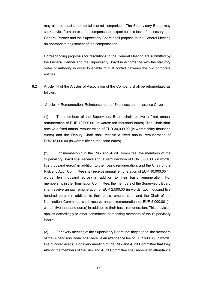may also conduct a horizontal market comparison. The Supervisory Board may seek advice from an external compensation expert for this task. If necessary, the General Partner and the Supervisory Board shall propose to the General Meeting an appropriate adjustment of the compensation.

Corresponding proposals for resolutions to the General Meeting are submitted by the General Partner and the Supervisory Board in accordance with the statutory order of authority in order to enable mutual control between the two corporate entities.

8.2 Article 14 of the Articles of Association of the Company shall be reformulated as follows:

"Article 14 Remuneration, Reimbursement of Expenses and Insurance Cover

(1) The members of the Supervisory Board shall receive a fixed annual remuneration of EUR 10,000.00 (in words: ten thousand euros). The Chair shall receive a fixed annual remuneration of EUR 30,000.00 (in words: thirty thousand euros) and the Deputy Chair shall receive a fixed annual remuneration of EUR 15,000.00 (in words: fifteen thousand euros).

(2) For membership in the Risk and Audit Committee, the members of the Supervisory Board shall receive annual remuneration of EUR 5,000.00 (in words: five thousand euros) in addition to their basic remuneration, and the Chair of the Risk and Audit Committee shall receive annual remuneration of EUR 10,000.00 (in words: ten thousand euros) in addition to their basic remuneration. For membership in the Nomination Committee, the members of the Supervisory Board shall receive annual remuneration of EUR 2,500.00 (in words: two thousand five hundred euros) in addition to their basic remuneration, and the Chair of the Nomination Committee shall receive annual remuneration of EUR 5,000.00 (in words: five thousand euros) in addition to their basic remuneration. This provision applies accordingly to other committees comprising members of the Supervisory Board.

(3) For every meeting of the Supervisory Board that they attend, the members of the Supervisory Board shall receive an attendance fee of EUR 500.00 (in words: five hundred euros). For every meeting of the Risk and Audit Committee that they attend, the members of the Risk and Audit Committee shall receive an attendance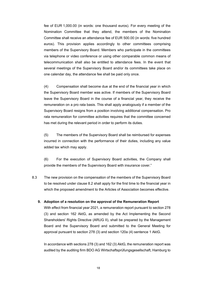fee of EUR 1,000.00 (in words: one thousand euros). For every meeting of the Nomination Committee that they attend, the members of the Nomination Committee shall receive an attendance fee of EUR 500.00 (in words: five hundred euros). This provision applies accordingly to other committees comprising members of the Supervisory Board. Members who participate in the committees via telephone or video conference or using other comparable common means of telecommunication shall also be entitled to attendance fees. In the event that several meetings of the Supervisory Board and/or its committees take place on one calendar day, the attendance fee shall be paid only once.

(4) Compensation shall become due at the end of the financial year in which the Supervisory Board member was active. If members of the Supervisory Board leave the Supervisory Board in the course of a financial year, they receive the remuneration on a pro rata basis. This shall apply analogously if a member of the Supervisory Board resigns from a position involving additional compensation. Pro rata remuneration for committee activities requires that the committee concerned has met during the relevant period in order to perform its duties.

(5) The members of the Supervisory Board shall be reimbursed for expenses incurred in connection with the performance of their duties, including any value added tax which may apply.

(6) For the execution of Supervisory Board activities, the Company shall provide the members of the Supervisory Board with insurance cover."

8.3 The new provision on the compensation of the members of the Supervisory Board to be resolved under clause 8.2 shall apply for the first time to the financial year in which the proposed amendment to the Articles of Association becomes effective.

#### **9. Adoption of a resolution on the approval of the Remuneration Report**

With effect from financial year 2021, a remuneration report pursuant to section 278 (3) and section 162 AktG, as amended by the Act Implementing the Second Shareholders' Rights Directive (ARUG II), shall be prepared by the Management Board and the Supervisory Board and submitted to the General Meeting for approval pursuant to section 278 (3) and section 120a (4) sentence 1 AktG.

In accordance with sections 278 (3) and 162 (3) AktG, the remuneration report was audited by the auditing firm BDO AG Wirtschaftsprüfungsgesellschaft, Hamburg to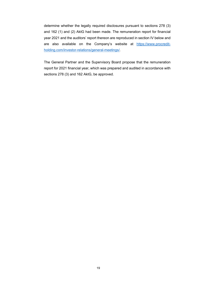determine whether the legally required disclosures pursuant to sections 278 (3) and 162 (1) and (2) AktG had been made. The remuneration report for financial year 2021 and the auditors' report thereon are reproduced in section IV below and are also available on the Company's website at [https://www.procredit](https://www.procredit-holding.com/investor-relations/general-meetings/)[holding.com/investor-relations/general-meetings/.](https://www.procredit-holding.com/investor-relations/general-meetings/)

The General Partner and the Supervisory Board propose that the remuneration report for 2021 financial year, which was prepared and audited in accordance with sections 278 (3) and 162 AktG, be approved.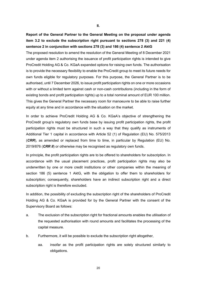**Report of the General Partner to the General Meeting on the proposal under agenda item 3.2 to exclude the subscription right pursuant to sections 278 (3) and 221 (4) sentence 2 in conjunction with sections 278 (3) and 186 (4) sentence 2 AktG**

The proposed resolution to amend the resolution of the General Meeting of 8 December 2021 under agenda item 2 authorising the issuance of profit participation rights is intended to give ProCredit Holding AG & Co. KGaA expanded options for raising own funds. The authorisation is to provide the necessary flexibility to enable the ProCredit group to meet its future needs for own funds eligible for regulatory purposes. For this purpose, the General Partner is to be authorised, until 7 December 2026, to issue profit participation rights on one or more occasions with or without a limited term against cash or non-cash contributions (including in the form of existing bonds and profit participation rights) up to a total nominal amount of EUR 100 million. This gives the General Partner the necessary room for manoeuvre to be able to raise further equity at any time and in accordance with the situation on the market.

In order to achieve ProCredit Holding AG & Co. KGaA's objective of strengthening the ProCredit group's regulatory own funds base by issuing profit participation rights, the profit participation rights must be structured in such a way that they qualify as instruments of Additional Tier 1 capital in accordance with Article 52 (1) of Regulation (EU) No. 575/2013 (*CRR*), as amended or replaced from time to time, in particular by Regulation (EU) No. 2019/876 (*CRR II*) or otherwise may be recognised as regulatory own funds.

In principle, the profit participation rights are to be offered to shareholders for subscription. In accordance with the usual placement practices, profit participation rights may also be underwritten by one or more credit institutions or other companies within the meaning of section 186 (5) sentence 1 AktG, with the obligation to offer them to shareholders for subscription; consequently, shareholders have an indirect subscription right and a direct subscription right is therefore excluded.

In addition, the possibility of excluding the subscription right of the shareholders of ProCredit Holding AG & Co. KGaA is provided for by the General Partner with the consent of the Supervisory Board as follows:

- a. The exclusion of the subscription right for fractional amounts enables the utilisation of the requested authorisation with round amounts and facilitates the processing of the capital measure.
- b. Furthermore, it will be possible to exclude the subscription right altogether,
	- aa. insofar as the profit participation rights are solely structured similarly to obligations.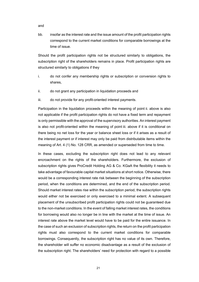bb. insofar as the interest rate and the issue amount of the profit participation rights correspond to the current market conditions for comparable borrowings at the time of issue.

Should the profit participation rights not be structured similarly to obligations, the subscription right of the shareholders remains in place. Profit participation rights are structured similarly to obligations if they

- i. do not confer any membership rights or subscription or conversion rights to shares,
- ii. do not grant any participation in liquidation proceeds and
- iii. do not provide for any profit-oriented interest payments.

Participation in the liquidation proceeds within the meaning of point ii. above is also not applicable if the profit participation rights do not have a fixed term and repayment is only permissible with the approval of the supervisory authorities. An interest payment is also not profit-oriented within the meaning of point iii. above if it is conditional on there being no net loss for the year or balance sheet loss or if it arises as a result of the interest payment or if interest may only be paid from distributable items within the meaning of Art. 4 (1) No. 128 CRR, as amended or superseded from time to time.

In these cases, excluding the subscription right does not lead to any relevant encroachment on the rights of the shareholders. Furthermore, the exclusion of subscription rights gives ProCredit Holding AG & Co. KGaA the flexibility it needs to take advantage of favourable capital market situations at short notice. Otherwise, there would be a corresponding interest rate risk between the beginning of the subscription period, when the conditions are determined, and the end of the subscription period. Should market interest rates rise within the subscription period, the subscription rights would either not be exercised or only exercised to a minimal extent. A subsequent placement of the unsubscribed profit participation rights could not be guaranteed due to the non-market conditions. In the event of falling market interest rates, the conditions for borrowing would also no longer be in line with the market at the time of issue. An interest rate above the market level would have to be paid for the entire issuance. In the case of such an exclusion of subscription rights, the return on the profit participation rights must also correspond to the current market conditions for comparable borrowings. Consequently, the subscription right has no value of its own. Therefore, the shareholder will suffer no economic disadvantage as a result of the exclusion of the subscription right. The shareholders' need for protection with regard to a possible

and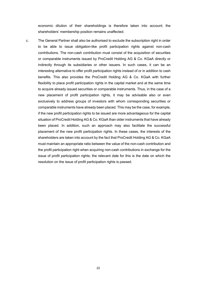economic dilution of their shareholdings is therefore taken into account; the shareholders' membership position remains unaffected.

c. The General Partner shall also be authorised to exclude the subscription right in order to be able to issue obligation-like profit participation rights against non-cash contributions. The non-cash contribution must consist of the acquisition of securities or comparable instruments issued by ProCredit Holding AG & Co. KGaA directly or indirectly through its subsidiaries or other issuers. In such cases, it can be an interesting alternative to offer profit participation rights instead of or in addition to cash benefits. This also provides the ProCredit Holding AG & Co. KGaA with further flexibility to place profit participation rights in the capital market and at the same time to acquire already issued securities or comparable instruments. Thus, in the case of a new placement of profit participation rights, it may be advisable also or even exclusively to address groups of investors with whom corresponding securities or comparable instruments have already been placed. This may be the case, for example, if the new profit participation rights to be issued are more advantageous for the capital situation of ProCredit Holding AG & Co. KGaA than older instruments that have already been placed. In addition, such an approach may also facilitate the successful placement of the new profit participation rights. In these cases, the interests of the shareholders are taken into account by the fact that ProCredit Holding AG & Co. KGaA must maintain an appropriate ratio between the value of the non-cash contribution and the profit participation right when acquiring non-cash contributions in exchange for the issue of profit participation rights; the relevant date for this is the date on which the resolution on the issue of profit participation rights is passed.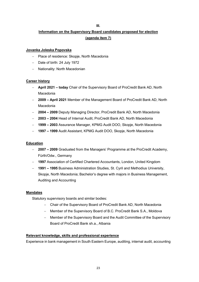#### **III.**

# **Information on the Supervisory Board candidates proposed for election (agenda item 7)**

## **Jovanka Joleska Popovska**

- − Place of residence: Skopje, North Macedonia
- − Date of birth: 24 July 1972
- − Nationality: North Macedonian

## **Career history**

- − **April 2021 today** Chair of the Supervisory Board of ProCredit Bank AD, North Macedonia
- − **2009 April 2021** Member of the Management Board of ProCredit Bank AD, North Macedonia
- − **2004 2009** Deputy Managing Director, ProCredit Bank AD, North Macedonia
- − **2003 2004** Head of Internal Audit, ProCredit Bank AD, North Macedonia
- − **1999 2003** Assurance Manager, KPMG Audit DOO, Skopje, North Macedonia
- − **1997 1999** Audit Assistant, KPMG Audit DOO, Skopje, North Macedonia

## **Education**

- − **2007 2009** Graduated from the Managers' Programme at the ProCredit Academy, Fürth/Odw., Germany
- − **1997** Association of Certified Chartered Accountants, London, United Kingdom
- − **1991 1995** Business Administration Studies, St. Cyril and Methodius University, Skopje, North Macedonia; Bachelor's degree with majors in Business Management, Auditing and Accounting

## **Mandates**

Statutory supervisory boards and similar bodies:

- − Chair of the Supervisory Board of ProCredit Bank AD, North Macedonia
- − Member of the Supervisory Board of B.C. ProCredit Bank S.A., Moldova
- Member of the Supervisory Board and the Audit Committee of the Supervisory Board of ProCredit Bank sh.a., Albania

## **Relevant knowledge, skills and professional experience**

Experience in bank management in South Eastern Europe, auditing, internal audit, accounting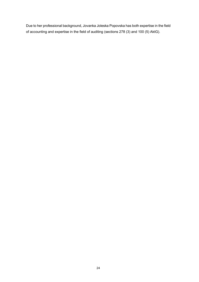Due to her professional background, Jovanka Joleska Popovska has both expertise in the field of accounting and expertise in the field of auditing (sections 278 (3) and 100 (5) AktG).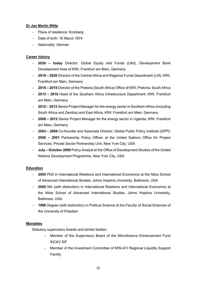## **Dr Jan Martin Witte**

- − Place of residence: Kronberg
- − Date of birth: 16 March 1974
- − Nationality: German

## **Career history**

- − **2020 today** Director, Global Equity and Funds (LNd), Development Bank Development Area of KfW, Frankfurt am Main, Germany
- − **2019 2020** Director of the Central Africa and Regional Funds Department (LAf), KfW, Frankfurt am Main, Germany
- − **2016 2019** Director of the Pretoria (South Africa) Office of KfW, Pretoria, South Africa
- − **2013 2016** Head of the Southern Africa Infrastructure Department, KfW, Frankfurt am Main, Germany
- − **2012 2013** Senior Project Manager for the energy sector in Southern Africa (including South Africa and Zambia) and East Africa, KfW, Frankfurt am Main, Germany
- − **2008 2012** Senior Project Manager for the energy sector in Uganda, KfW, Frankfurt am Main, Germany
- − **2003 2008** Co-founder and Associate Director, Global Public Policy Institute (GPPi)
- − **2000 2001** Partnership Policy Officer at the United Nations Office for Project Services, Private Sector Partnership Unit, New York City, USA
- − **July October 2000** Policy Analyst at the Office of Development Studies of the United Nations Development Programme, New York City, USA

## **Education**

- − **2005** PhD in International Relations and International Economics at the Nitze School of Advanced International Studies, Johns Hopkins University, Baltimore, USA
- − **2000** MA (with distinction) in International Relations and International Economics at the Nitze School of Advanced International Studies, Johns Hopkins University, Baltimore, USA
- − **1998** Degree (with distinction) in Political Science at the Faculty of Social Sciences of the University of Potsdam

## **Mandates**

Statutory supervisory boards and similar bodies:

- Member of the Supervisory Board of the Microfinance Enhancement Fund SICAV SIF
- − Member of the Investment Committee of KfW-ATI Regional Liquidity Support Facility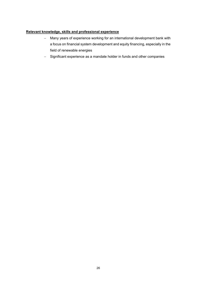## **Relevant knowledge, skills and professional experience**

- − Many years of experience working for an international development bank with a focus on financial system development and equity financing, especially in the field of renewable energies
- − Significant experience as a mandate holder in funds and other companies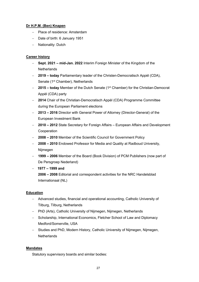## **Dr H.P.M. (Ben) Knapen**

- − Place of residence: Amsterdam
- − Date of birth: 6 January 1951
- − Nationality: Dutch

## **Career history**

- − **Sept. 2021 mid-Jan. 2022** Interim Foreign Minister of the Kingdom of the **Netherlands**
- − **2019 today** Parliamentary leader of the Christen-Democratisch Appèl (CDA), Senate (1<sup>st</sup> Chamber), Netherlands
- − **2015 today** Member of the Dutch Senate (1st Chamber) for the Christian-Democrat Appèl (CDA) party
- − **2014** Chair of the Christian-Democratisch Appèl (CDA) Programme Committee during the European Parliament elections
- − **2013 2016** Director with General Power of Attorney (Director-General) of the European Investment Bank
- − **2010 2012** State Secretary for Foreign Affairs European Affairs and Development **Cooperation**
- − **2008 2010** Member of the Scientific Council for Government Policy
- − **2008 2010** Endowed Professor for Media and Quality at Radboud University, Nijmegen
- − **1999 2006** Member of the Board (Book Division) of PCM Publishers (now part of De Persgroep Nederland)
- − **1977 1999 and**

**2006 – 2008** Editorial and correspondent activities for the NRC Handelsblad Internationaal (NL)

## **Education**

- − Advanced studies, financial and operational accounting, Catholic University of Tilburg, Tilburg, Netherlands
- − PhD (Arts), Catholic University of Nijmegen, Nijmegen, Netherlands
- − Scholarship, International Economics, Fletcher School of Law and Diplomacy Medford/Somerville, USA
- − Studies and PhD, Modern History, Catholic University of Nijmegen, Nijmegen, **Netherlands**

## **Mandates**

Statutory supervisory boards and similar bodies: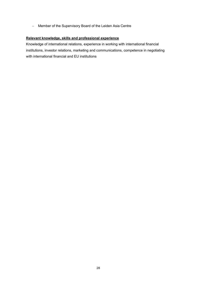− Member of the Supervisory Board of the Leiden Asia Centre

## **Relevant knowledge, skills and professional experience**

Knowledge of international relations, experience in working with international financial institutions, investor relations, marketing and communications, competence in negotiating with international financial and EU institutions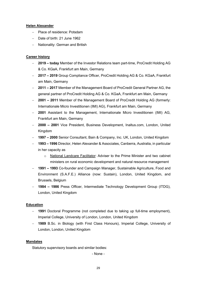## **Helen Alexander**

- − Place of residence: Potsdam
- − Date of birth: 21 June 1962
- − Nationality: German and British

## **Career history**

- − **2019 today** Member of the Investor Relations team part-time, ProCredit Holding AG & Co. KGaA, Frankfurt am Main, Germany
- − **2017 2019** Group Compliance Officer, ProCredit Holding AG & Co. KGaA, Frankfurt am Main, Germany
- − **2011 2017** Member of the Management Board of ProCredit General Partner AG, the general partner of ProCredit Holding AG & Co. KGaA, Frankfurt am Main, Germany
- − **2001 2011** Member of the Management Board of ProCredit Holding AG (formerly: Internationale Micro Investitionen (IMI) AG), Frankfurt am Main, Germany
- − **2001** Assistant to the Management, Internationale Micro Investitionen (IMI) AG, Frankfurt am Main, Germany
- − **2000 2001** Vice President, Business Development, Inaltus.com, London, United Kingdom
- − **1997 2000** Senior Consultant, Bain & Company, Inc. UK, London, United Kingdom
- − **1993 1996** Director, Helen Alexander & Associates, Canberra, Australia, in particular in her capacity as
	- o National Landcare Facilitator: Adviser to the Prime Minister and two cabinet ministers on rural economic development and natural resource management
- − **1991 1993** Co-founder and Campaign Manager, Sustainable Agriculture, Food and Environment (S.A.F.E.) Alliance (now: Sustain), London, United Kingdom, and Brussels, Belgium
- − **1984 1986** Press Officer, Intermediate Technology Development Group (ITDG), London, United Kingdom

## **Education**

- − **1991** Doctoral Programme (not completed due to taking up full-time employment), Imperial College, University of London, London, United Kingdom
- − **1989** B.Sc. in Biology (with First Class Honours), Imperial College, University of London, London, United Kingdom

#### **Mandates**

Statutory supervisory boards and similar bodies:

- None -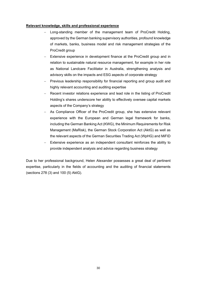### **Relevant knowledge, skills and professional experience**

- Long-standing member of the management team of ProCredit Holding, approved by the German banking supervisory authorities, profound knowledge of markets, banks, business model and risk management strategies of the ProCredit group
- Extensive experience in development finance at the ProCredit group and in relation to sustainable natural resource management, for example in her role as National Landcare Facilitator in Australia, strengthening analysis and advisory skills on the impacts and ESG aspects of corporate strategy
- Previous leadership responsibility for financial reporting and group audit and highly relevant accounting and auditing expertise
- Recent investor relations experience and lead role in the listing of ProCredit Holding's shares underscore her ability to effectively oversee capital markets aspects of the Company's strategy
- As Compliance Officer of the ProCredit group, she has extensive relevant experience with the European and German legal framework for banks, including the German Banking Act (KWG), the Minimum Requirements for Risk Management (MaRisk), the German Stock Corporation Act (AktG) as well as the relevant aspects of the German Securities Trading Act (WpHG) and MiFID
- Extensive experience as an independent consultant reinforces the ability to provide independent analysis and advice regarding business strategy

Due to her professional background, Helen Alexander possesses a great deal of pertinent expertise, particularly in the fields of accounting and the auditing of financial statements (sections 278 (3) and 100 (5) AktG).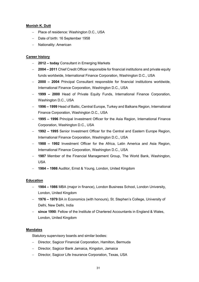## **Monish K. Dutt**

- − Place of residence: Washington D.C., USA
- − Date of birth: 16 September 1958
- − Nationality: American

## **Career history**

- − **2012 today** Consultant in Emerging Markets
- − **2004 2011** Chief Credit Officer responsible for financial institutions and private equity funds worldwide, International Finance Corporation, Washington D.C., USA
- − **2000 2004** Principal Consultant responsible for financial institutions worldwide, International Finance Corporation, Washington D.C., USA
- − **1999 2000** Head of Private Equity Funds, International Finance Corporation, Washington D.C., USA
- − **1996 1999** Head of Baltic, Central Europe, Turkey and Balkans Region, International Finance Corporation, Washington D.C., USA
- − **1995 1996** Principal Investment Officer for the Asia Region, International Finance Corporation, Washington D.C., USA
- − **1992 1995** Senior Investment Officer for the Central and Eastern Europe Region, International Finance Corporation, Washington D.C., USA
- − **1988 1992** Investment Officer for the Africa, Latin America and Asia Region, International Finance Corporation, Washington D.C., USA
- − **1987** Member of the Financial Management Group, The World Bank, Washington, USA
- − **1984 1986** Auditor, Ernst & Young, London, United Kingdom

## **Education**

- − **1984 1986** MBA (major in finance), London Business School, London University, London, United Kingdom
- − **1976 1979** BA in Economics (with honours), St. Stephen's College, University of Delhi, New Delhi, India
- − **since 1990**: Fellow of the Institute of Chartered Accountants in England & Wales, London, United Kingdom

## **Mandates**

Statutory supervisory boards and similar bodies:

- − Director, Sagicor Financial Corporation, Hamilton, Bermuda
- − Director, Sagicor Bank Jamaica, Kingston, Jamaica
- − Director, Sagicor Life Insurance Corporation, Texas, USA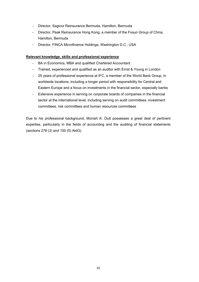- − Director, Sagicor Reinsurance Bermuda, Hamilton, Bermuda
- − Director, Peak Reinsurance Hong Kong, a member of the Fosun Group of China, Hamilton, Bermuda
- − Director, FINCA Microfinance Holdings, Washington D.C., USA

## **Relevant knowledge, skills and professional experience**

- − BA in Economics, MBA and qualified Chartered Accountant
- − Trained, experienced and qualified as an auditor with Ernst & Young in London
- − 25 years of professional experience at IFC, a member of the World Bank Group, in worldwide locations, including a longer period with responsibility for Central and Eastern Europe and a focus on investments in the financial sector, especially banks
- − Extensive experience in serving on corporate boards of companies in the financial sector at the international level, including serving on audit committees, investment committees, risk committees and human resources committees

Due to his professional background, Monish K. Dutt possesses a great deal of pertinent expertise, particularly in the fields of accounting and the auditing of financial statements (sections 278 (3) and 100 (5) AktG).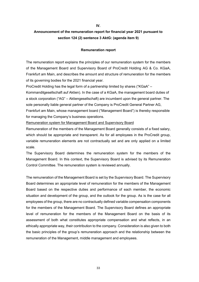**IV.**

# **Announcement of the remuneration report for financial year 2021 pursuant to section 124 (2) sentence 3 AktG: (agenda item 9)**

### **Remuneration report**

The remuneration report explains the principles of our remuneration system for the members of the Management Board and Supervisory Board of ProCredit Holding AG & Co. KGaA, Frankfurt am Main, and describes the amount and structure of remuneration for the members of its governing bodies for the 2021 financial year.

ProCredit Holding has the legal form of a partnership limited by shares ("KGaA" –

Kommanditgesellschaft auf Aktien). In the case of a KGaA, the management board duties of a stock corporation ("AG" – Aktiengesellschaft) are incumbent upon the general partner. The sole personally liable general partner of the Company is ProCredit General Partner AG,

Frankfurt am Main, whose management board ("Management Board") is thereby responsible for managing the Company's business operations.

Remuneration system for Management Board and Supervisory Board

Remuneration of the members of the Management Board generally consists of a fixed salary, which should be appropriate and transparent. As for all employees in the ProCredit group, variable remuneration elements are not contractually set and are only applied on a limited scale.

The Supervisory Board determines the remuneration system for the members of the Management Board. In this context, the Supervisory Board is advised by its Remuneration Control Committee. The remuneration system is reviewed annually.

The remuneration of the Management Board is set by the Supervisory Board. The Supervisory Board determines an appropriate level of remuneration for the members of the Management Board based on the respective duties and performance of each member, the economic situation and development of the group, and the outlook for the group. As is the case for all employees of the group, there are no contractually defined variable compensation components for the members of the Management Board. The Supervisory Board defines an appropriate level of remuneration for the members of the Management Board on the basis of its assessment of both what constitutes appropriate compensation and what reflects, in an ethically appropriate way, their contribution to the company. Consideration is also given to both the basic principles of the group's remuneration approach and the relationship between the remuneration of the Management, middle management and employees.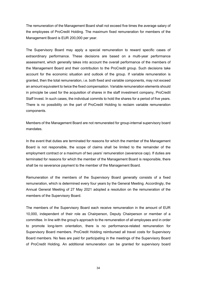The remuneration of the Management Board shall not exceed five times the average salary of the employees of ProCredit Holding. The maximum fixed remuneration for members of the Management Board is EUR 200,000 per year.

The Supervisory Board may apply a special remuneration to reward specific cases of extraordinary performance. These decisions are based on a multi-year performance assessment, which generally takes into account the overall performance of the members of the Management Board and their contribution to the ProCredit group. Such decisions take account for the economic situation and outlook of the group. If variable remuneration is granted, then the total remuneration, i.e. both fixed and variable components, may not exceed an amount equivalent to twice the fixed compensation. Variable remuneration elements should in principle be used for the acquisition of shares in the staff investment company, ProCredit Staff Invest. In such cases, the individual commits to hold the shares for a period of five years. There is no possibility on the part of ProCredit Holding to reclaim variable remuneration components.

Members of the Management Board are not remunerated for group-internal supervisory board mandates.

In the event that duties are terminated for reasons for which the member of the Management Board is not responsible, the scope of claims shall be limited to the remainder of the employment contract or a maximum of two years' remuneration (severance cap). If duties are terminated for reasons for which the member of the Management Board is responsible, there shall be no severance payment to the member of the Management Board.

Remuneration of the members of the Supervisory Board generally consists of a fixed remuneration, which is determined every four years by the General Meeting. Accordingly, the Annual General Meeting of 27 May 2021 adopted a resolution on the remuneration of the members of the Supervisory Board.

The members of the Supervisory Board each receive remuneration in the amount of EUR 10,000, independent of their role as Chairperson, Deputy Chairperson or member of a committee. In line with the group's approach to the remuneration of all employees and in order to promote long-term orientation, there is no performance-related remuneration for Supervisory Board members. ProCredit Holding reimbursed all travel costs for Supervisory Board members. No fees are paid for participating in the meetings of the Supervisory Board of ProCredit Holding. An additional remuneration can be granted for supervisory board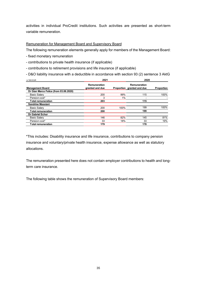activities in individual ProCredit institutions. Such activities are presented as short-term variable remuneration.

## Remuneration for Management Board and Supervisory Board

The following remuneration elements generally apply for members of the Management Board:

- fixed monetary remuneration
- contributions to private health insurance (if applicable)
- contributions to retirement provisions and life insurance (if applicable)

- D&O liability insurance with a deductible in accordance with section 93 (2) sentence 3 AktG

| in '000 EUR                            | 2021                            | 2020  |                                            |            |
|----------------------------------------|---------------------------------|-------|--------------------------------------------|------------|
| <b>Management Board</b>                | Remuneration<br>granted and due |       | Remuneration<br>Proportion granted and due | Proportion |
| Dr Gian Marco Felice (from 03.06.2020) |                                 |       |                                            |            |
| <b>Basic Salary</b>                    | 200                             | 99%   | 115                                        | 100%       |
| Pension cost*                          | 3                               | $1\%$ |                                            |            |
| <b>Total remuneration</b>              | 203                             |       | 115                                        |            |
| Sandrine Massiani                      |                                 |       |                                            |            |
| <b>Basic Salary</b>                    | 200                             | 100%  | 199                                        | 100%       |
| <b>Total remuneration</b>              | 200                             |       | 199                                        |            |
| <b>Dr Gabriel Schor</b>                |                                 |       |                                            |            |
| <b>Basic Salary</b>                    | 146                             | 82%   | 145                                        | 81%        |
| Pension cost*                          | 33                              | 18%   | 33                                         | 19%        |
| <b>Total remuneration</b>              | 179                             |       | 178                                        |            |

\*This includes: Disability insurance and life insurance, contributions to company pension insurance and voluntary/private health insurance, expense allowance as well as statutory allocations.

The remuneration presented here does not contain employer contributions to health and longterm care insurance.

The following table shows the remuneration of Supervisory Board members: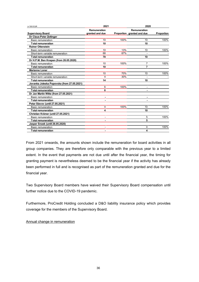| in '000 EUR                                | 2021            |      | 2020                       |            |  |
|--------------------------------------------|-----------------|------|----------------------------|------------|--|
|                                            | Remuneration    |      | Remuneration               |            |  |
| <b>Supervisory Board</b>                   | granted and due |      | Proportion granted and due | Proportion |  |
| Dr Claus-Peter Zeitinger                   |                 |      |                            |            |  |
| Basic remuneration                         | 10              | 100% | 10                         | 100%       |  |
| <b>Total remuneration</b>                  | 10              |      | 10                         |            |  |
| <b>Rainer Ottenstein</b>                   |                 |      |                            |            |  |
| <b>Basic remuneration</b>                  | 10              | 13%  | 10                         | 100%       |  |
| Short-term variable remuneration           | 68              | 87%  |                            |            |  |
| <b>Total remuneration</b>                  | 78              |      | 10                         |            |  |
| Dr H.P.M. Ben Knapen (from 26.05.2020)     |                 |      |                            |            |  |
| <b>Basic remuneration</b>                  | 10              | 100% | $\overline{7}$             | 100%       |  |
| <b>Total remuneration</b>                  | 10              |      | 7                          |            |  |
| <b>Marianne Loner</b>                      |                 |      |                            |            |  |
| Basic remuneration                         | 10              | 70%  | 10                         | 100%       |  |
| Short-term variable remuneration           | 4               | 30%  |                            |            |  |
| <b>Total remuneration</b>                  | 14              |      | 10                         |            |  |
| Jovanka Joleska Popovska (from 27.05.2021) |                 |      |                            |            |  |
| Basic remuneration                         | 6               | 100% |                            |            |  |
| <b>Total remuneration</b>                  | 6               |      |                            |            |  |
| Dr Jan Martin Witte (from 27.05.2021)      |                 |      |                            |            |  |
| Basic remuneration                         | $\blacksquare$  |      | $\blacksquare$             |            |  |
| <b>Total remuneration</b>                  |                 |      |                            |            |  |
| Petar Slavov (until 27.05.2021)            |                 |      |                            |            |  |
| Basic remuneration                         | 4               | 100% | 10                         | 100%       |  |
| <b>Total remuneration</b>                  | 4               |      | 10                         |            |  |
| Christian Krämer (until 27.05.2021)        |                 |      |                            |            |  |
| Basic remuneration                         | ٠               |      | 5                          | 100%       |  |
| <b>Total remuneration</b>                  |                 |      | 5                          |            |  |
| Jasper Snoek (until 26.05.2020)            |                 |      |                            |            |  |
| Basic remuneration                         | ۰               |      | 4                          | 100%       |  |
| <b>Total remuneration</b>                  | $\blacksquare$  |      | 4                          |            |  |

From 2021 onwards, the amounts shown include the remuneration for board activities in all group companies. They are therefore only comparable with the previous year to a limited extent. In the event that payments are not due until after the financial year, the timing for granting payment is nevertheless deemed to be the financial year if the activity has already been performed in full and is recognised as part of the remuneration granted and due for the financial year.

Two Supervisory Board members have waived their Supervisory Board compensation until further notice due to the COVID-19 pandemic.

Furthermore, ProCredit Holding concluded a D&O liability insurance policy which provides coverage for the members of the Supervisory Board.

## Annual change in remuneration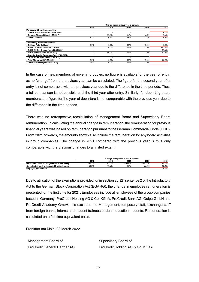|                                            | Change from previous vear in percent |         |         |           |          |
|--------------------------------------------|--------------------------------------|---------|---------|-----------|----------|
|                                            | 2017                                 | 2018    | 2019    | 2020      | 2021     |
| <b>Management Board remuneration</b>       |                                      |         |         |           |          |
| Dr Gian Marco Felice (from 03.06.2020)     |                                      |         |         |           | 76.6%    |
| Sandrine Massiani (from 01.03.2017)        |                                      | 33.7%   | 6.7%    | $-0.2%$   | 0.3%     |
| Dr Gabriel Schor                           | 1.2%                                 | 6.9%    | $-4.6%$ | $-0.2%$   | 0.2%     |
| <b>Supervisory Board remuneration</b>      |                                      |         |         |           |          |
|                                            |                                      |         |         |           |          |
| Dr Claus-Peter Zeitinger                   | 0.0%                                 | $0.0\%$ | 0.0%    | 0.0%      | $0.0\%$  |
| Rainer Ottenstein (from 30.11.2016)        |                                      | $0.0\%$ | $0.0\%$ | $0.0\%$   | 681.4%   |
| Dr H.P.M. Ben Knapen (from 26.05.2020)     |                                      |         |         |           | 50.0%    |
| Marianne Loner (from 17.05.2017)           |                                      | 50.0%   | $0.0\%$ | 0.0%      | 42.7%    |
| Jovanka Joleska Popovska (from 27.05.2021) |                                      | -       | ۰       |           |          |
| Dr Jan Martin Witte (from 27.05.2021)      |                                      |         |         |           |          |
| Petar Slavov (until 27.05.2021)            | 0.0%                                 | $0.0\%$ | 0.0%    | 0.0%      | $-58.3%$ |
| Christian Krämer (until 27.05.2021)        | $0.0\%$                              | $0.0\%$ | $0.0\%$ | $-50.0\%$ |          |

In the case of new members of governing bodies, no figure is available for the year of entry, as no "change" from the previous year can be calculated. The figure for the second year after entry is not comparable with the previous year due to the difference in the time periods. Thus, a full comparison is not possible until the third year after entry. Similarly, for departing board members, the figure for the year of departure is not comparable with the previous year due to the difference in the time periods.

There was no retrospective recalculation of Management Board and Supervisory Board remuneration. In calculating the annual change in remuneration, the remuneration for previous financial years was based on remuneration pursuant to the German Commercial Code (HGB). From 2021 onwards, the amounts shown also include the remuneration for any board activities in group companies. The change in 2021 compared with the previous year is thus only comparable with the previous changes to a limited extent.

|                                                   | Change from previous vear in percent |          |           |           |        |
|---------------------------------------------------|--------------------------------------|----------|-----------|-----------|--------|
|                                                   | 2017                                 | 2018     | 2019      | 2020      | 2021   |
| Net income (-loss) for the year ProCredit Holding | $-36.3%$                             | $-41.0%$ | $-203.8%$ | $-135.7%$ | 245.0% |
| Consolidated profit of the period ProCredit group | $-21.2%$                             | 13.3%    | 0.3%      | $-23.8%$  | 92.4%  |
| <b>Employee remuneration</b>                      |                                      |          |           |           | 0.5%   |

Due to utilisation of the exemptions provided for in section 26j (2) sentence 2 of the Introductory Act to the German Stock Corporation Act (EGAktG), the change in employee remuneration is presented for the first time for 2021. Employees include all employees of the group companies based in Germany: ProCredit Holding AG & Co. KGaA, ProCredit Bank AG, Quipu GmbH and ProCredit Academy GmbH; this excludes the Management, temporary staff, exchange staff from foreign banks, interns and student trainees or dual education students. Remuneration is calculated on a full-time equivalent basis.

Frankfurt am Main, 23 March 2022

Management Board of Supervisory Board of

ProCredit General Partner AG ProCredit Holding AG & Co. KGaA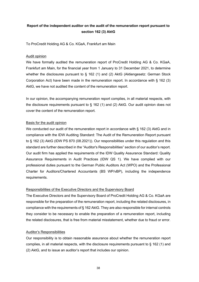# **Report of the independent auditor on the audit of the remuneration report pursuant to section 162 (3) AktG**

To ProCredit Holding AG & Co. KGaA, Frankfurt am Main

### Audit opinion

We have formally audited the remuneration report of ProCredit Holding AG & Co. KGaA, Frankfurt am Main, for the financial year from 1 January to 31 December 2021, to determine whether the disclosures pursuant to § 162 (1) and (2) AktG (Aktiengesetz: German Stock Corporation Act) have been made in the remuneration report. In accordance with § 162 (3) AktG, we have not audited the content of the remuneration report.

In our opinion, the accompanying remuneration report complies, in all material respects, with the disclosure requirements pursuant to § 162 (1) and (2) AktG. Our audit opinion does not cover the content of the remuneration report.

### Basis for the audit opinion

We conducted our audit of the remuneration report in accordance with § 162 (3) AktG and in compliance with the IDW Auditing Standard: The Audit of the Remuneration Report pursuant to § 162 (3) AktG (IDW PS 870 (08.2021)). Our responsibilities under this regulation and this standard are further described in the "Auditor's Responsibilities" section of our auditor's report. Our audit firm has applied the requirements of the IDW Quality Assurance Standard: Quality Assurance Requirements in Audit Practices (IDW QS 1). We have complied with our professional duties pursuant to the German Public Auditors Act (WPO) and the Professional Charter for Auditors/Chartered Accountants (BS WP/vBP), including the independence requirements.

#### Responsibilities of the Executive Directors and the Supervisory Board

The Executive Directors and the Supervisory Board of ProCredit Holding AG & Co. KGaA are responsible for the preparation of the remuneration report, including the related disclosures, in compliance with the requirements of § 162 AktG. They are also responsible for internal controls they consider to be necessary to enable the preparation of a remuneration report, including the related disclosures, that is free from material misstatement, whether due to fraud or error.

#### Auditor's Responsibilities

Our responsibility is to obtain reasonable assurance about whether the remuneration report complies, in all material respects, with the disclosure requirements pursuant to § 162 (1) and (2) AktG, and to issue an auditor's report that includes our opinion.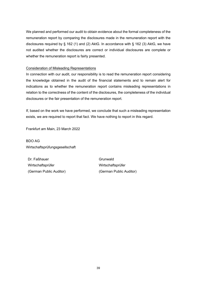We planned and performed our audit to obtain evidence about the formal completeness of the remuneration report by comparing the disclosures made in the remuneration report with the disclosures required by § 162 (1) and (2) AktG. In accordance with § 162 (3) AktG, we have not audited whether the disclosures are correct or individual disclosures are complete or whether the remuneration report is fairly presented.

### Consideration of Misleading Representations

In connection with our audit, our responsibility is to read the remuneration report considering the knowledge obtained in the audit of the financial statements and to remain alert for indications as to whether the remuneration report contains misleading representations in relation to the correctness of the content of the disclosures, the completeness of the individual disclosures or the fair presentation of the remuneration report.

If, based on the work we have performed, we conclude that such a misleading representation exists, we are required to report that fact. We have nothing to report in this regard.

Frankfurt am Main, 23 March 2022

BDO AG Wirtschaftsprüfungsgesellschaft

Dr. Faßhauer Grunwald Wirtschaftsprüfer Wirtschaftsprüfer (German Public Auditor) (German Public Auditor)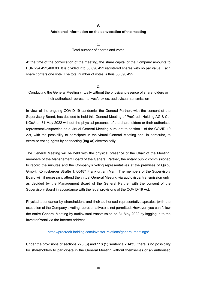**V.**

### **Additional information on the convocation of the meeting**

1. Total number of shares and votes

At the time of the convocation of the meeting, the share capital of the Company amounts to EUR 294,492,460.00. It is divided into 58,898,492 registered shares with no par value. Each share confers one vote. The total number of votes is thus 58,898,492.

#### 2.

## Conducting the General Meeting virtually without the physical presence of shareholders or their authorised representatives/proxies, audiovisual transmission

In view of the ongoing COVID-19 pandemic, the General Partner, with the consent of the Supervisory Board, has decided to hold this General Meeting of ProCredit Holding AG & Co. KGaA on 31 May 2022 without the physical presence of the shareholders or their authorised representatives/proxies as a virtual General Meeting pursuant to section 1 of the COVID-19 Act, with the possibility to participate in the virtual General Meeting and, in particular, to exercise voting rights by connecting (*log in*) electronically.

The General Meeting will be held with the physical presence of the Chair of the Meeting, members of the Management Board of the General Partner, the notary public commissioned to record the minutes and the Company's voting representatives at the premises of Quipu GmbH, Königsberger Straße 1, 60487 Frankfurt am Main. The members of the Supervisory Board will, if necessary, attend the virtual General Meeting via audiovisual transmission only, as decided by the Management Board of the General Partner with the consent of the Supervisory Board in accordance with the legal provisions of the COVID-19 Act.

Physical attendance by shareholders and their authorised representatives/proxies (with the exception of the Company's voting representatives) is not permitted. However, you can follow the entire General Meeting by audiovisual transmission on 31 May 2022 by logging in to the InvestorPortal via the Internet address

#### <https://procredit-holding.com/investor-relations/general-meetings/>

Under the provisions of sections 278 (3) and 118 (1) sentence 2 AktG, there is no possibility for shareholders to participate in the General Meeting without themselves or an authorised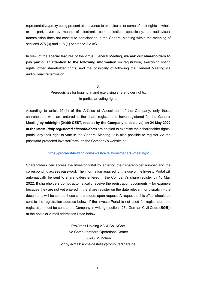representative/proxy being present at the venue to exercise all or some of their rights in whole or in part, even by means of electronic communication; specifically, an audiovisual transmission does not constitute participation in the General Meeting within the meaning of sections 278 (3) and 118 (1) sentence 2 AktG.

In view of the special features of the virtual General Meeting, **we ask our shareholders to pay particular attention to the following information** on registration, exercising voting rights, other shareholder rights, and the possibility of following the General Meeting via audiovisual transmission.

# 3. Prerequisites for logging in and exercising shareholder rights, in particular voting rights

According to article 19 (1) of the Articles of Association of the Company, only those shareholders who are entered in the share register and have registered for the General Meeting **by midnight (24:00 CEST, receipt by the Company is decisive) on 24 May 2022 at the latest** (*duly registered shareholders*) are entitled to exercise their shareholder rights, particularly their right to vote in the General Meeting. It is also possible to register via the password-protected InvestorPortal on the Company's website at

#### <https://procredit-holding.com/investor-relations/general-meetings/>

Shareholders can access the InvestorPortal by entering their shareholder number and the corresponding access password. The information required for the use of the InvestorPortal will automatically be sent to shareholders entered in the Company's share register by 10 May 2022. If shareholders do not automatically receive the registration documents – for example because they are not yet entered in the share register on the date relevant for dispatch – the documents will be sent to these shareholders upon request. A request to this effect should be sent to the registration address below. If the InvestorPortal is not used for registration, the registration must be sent to the Company in writing (section 126b German Civil Code (*BGB*)) at the postalor e-mail addresses listed below:

> ProCredit Holding AG & Co. KGaA c/o Computershare Operations Center 80249 München **or** by e-mail: anmeldestelle@computershare.de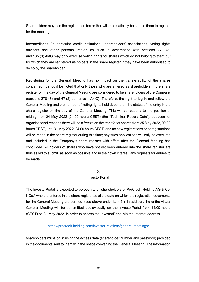Shareholders may use the registration forms that will automatically be sent to them to register for the meeting.

Intermediaries (in particular credit institutions), shareholders' associations, voting rights advisers and other persons treated as such in accordance with sections 278 (3) and 135 (8) AktG may only exercise voting rights for shares which do not belong to them but for which they are registered as holders in the share register if they have been authorised to do so by the shareholder.

Registering for the General Meeting has no impact on the transferability of the shares concerned. It should be noted that only those who are entered as shareholders in the share register on the day of the General Meeting are considered to be shareholders of the Company (sections 278 (3) and 67 (2) sentence 1 AktG). Therefore, the right to log in and follow the General Meeting and the number of voting rights held depend on the status of the entry in the share register on the day of the General Meeting. This will correspond to the position at midnight on 24 May 2022 (24:00 hours CEST) (the "Technical Record Date"), because for organisational reasons there will be a freeze on the transfer of shares from 25 May 2022, 00:00 hours CEST, until 31 May 2022, 24:00 hours CEST, and no new registrations or deregistrations will be made in the share register during this time; any such applications will only be executed and included in the Company's share register with effect after the General Meeting has concluded. All holders of shares who have not yet been entered into the share register are thus asked to submit, as soon as possible and in their own interest, any requests for entries to be made.

#### 5.

#### **InvestorPortal**

The InvestorPortal is expected to be open to all shareholders of ProCredit Holding AG & Co. KGaA who are entered in the share register as of the date on which the registration documents for the General Meeting are sent out (see above under item 3.). In addition, the entire virtual General Meeting will be transmitted audiovisually on the InvestorPortal from 14:00 hours (CEST) on 31 May 2022. In order to access the InvestorPortal via the Internet address

## <https://procredit-holding.com/investor-relations/general-meetings/>

shareholders must log in using the access data (shareholder number and password) provided in the documents sent to them with the notice convening the General Meeting. The information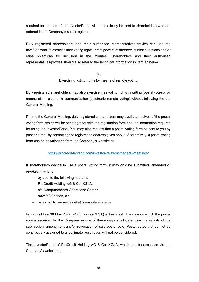required for the use of the InvestorPortal will automatically be sent to shareholders who are entered in the Company's share register.

Duly registered shareholders and their authorised representatives/proxies can use the InvestorPortal to exercise their voting rights, grant powers of attorney, submit questions and/or raise objections for inclusion in the minutes. Shareholders and their authorised representatives/proxies should also refer to the technical information in item 17 below.

## 6. Exercising voting rights by means of remote voting

Duly registered shareholders may also exercise their voting rights in writing (postal vote) or by means of an electronic communication (electronic remote voting) without following the the General Meeting.

Prior to the General Meeting, duly registered shareholders may avail themselves of the postal voting form, which will be sent together with the registration form and the information required for using the InvestorPortal. You may also request that a postal voting form be sent to you by post or e-mail by contacting the registration address given above. Alternatively, a postal voting form can be downloaded from the Company's website at

## <https://procredit-holding.com/investor-relations/general-meetings/>

If shareholders decide to use a postal voting form, it may only be submitted, amended or revoked in writing

- − by post to the following address: ProCredit Holding AG & Co. KGaA, c/o Computershare Operations Center, 80249 München, **or**
- − by e-mail to: anmeldestelle@computershare.de

by midnight on 30 May 2022, 24:00 hours (CEST) at the latest. The date on which the postal vote is received by the Company in one of these ways shall determine the validity of the submission, amendment and/or revocation of said postal vote. Postal votes that cannot be conclusively assigned to a legitimate registration will not be considered.

The InvestorPortal of ProCredit Holding AG & Co. KGaA, which can be accessed via the Company's website at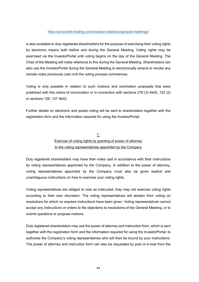### <https://procredit-holding.com/investor-relations/general-meetings/>

is also available to duly registered shareholders for the purpose of exercising their voting rights by electronic means both before and during the General Meeting. Voting rights may be exercised via the InvestorPortal until voting begins on the day of the General Meeting. The Chair of the Meeting will make reference to this during the General Meeting. Shareholders can also use the InvestorPortal during the General Meeting to electronically amend or revoke any remote votes previously cast until the voting process commences.

Voting is only possible in relation to such motions and nomination proposals that were published with this notice of convocation or in connection with sections 278 (3) AktG, 122 (2) or sections 126, 127 AktG.

Further details on electronic and postal voting will be sent to shareholders together with the registration form and the information required for using the InvestorPortal.

# 7. Exercise of voting rights by granting of power of attorney to the voting representatives appointed by the Company

Duly registered shareholders may have their votes cast in accordance with their instructions by voting representatives appointed by the Company. In addition to the power of attorney, voting representatives appointed by the Company must also be given explicit and unambiguous instructions on how to exercise your voting rights.

Voting representatives are obliged to vote as instructed; they may not exercise voting rights according to their own discretion. The voting representatives will abstain from voting on resolutions for which no express instructions have been given. Voting representatives cannot accept any instructions or orders to file objections to resolutions of the General Meeting, or to submit questions or propose motions.

Duly registered shareholders may use the power of attorney and instruction form, which is sent together with the registration form and the information required for using the InvestorPortal, to authorise the Company's voting representatives who will then be bound by your instructions. The power of attorney and instruction form can also be requested by post or e-mail from the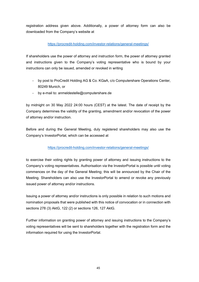registration address given above. Additionally, a power of attorney form can also be downloaded from the Company's website at

## <https://procredit-holding.com/investor-relations/general-meetings/>

If shareholders use the power of attorney and instruction form, the power of attorney granted and instructions given to the Company's voting representative who is bound by your instructions can only be issued, amended or revoked in writing

- − by post to ProCredit Holding AG & Co. KGaA, c/o Computershare Operations Center, 80249 Munich, or
- − by e-mail to: anmeldestelle@computershare.de

by midnight on 30 May 2022 24:00 hours (CEST) at the latest. The date of receipt by the Company determines the validity of the granting, amendment and/or revocation of the power of attorney and/or instruction.

Before and during the General Meeting, duly registered shareholders may also use the Company's InvestorPortal, which can be accessed at

## <https://procredit-holding.com/investor-relations/general-meetings/>

to exercise their voting rights by granting power of attorney and issuing instructions to the Company's voting representatives. Authorisation via the InvestorPortal is possible until voting commences on the day of the General Meeting; this will be announced by the Chair of the Meeting. Shareholders can also use the InvestorPortal to amend or revoke any previously issued power of attorney and/or instructions.

Issuing a power of attorney and/or instructions is only possible in relation to such motions and nomination proposals that were published with this notice of convocation or in connection with sections 278 (3) AktG, 122 (2) or sections 126, 127 AktG.

Further information on granting power of attorney and issuing instructions to the Company's voting representatives will be sent to shareholders together with the registration form and the information required for using the InvestorPortal.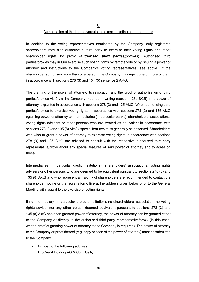8.

#### Authorisation of third parties/proxies to exercise voting and other rights

In addition to the voting representatives nominated by the Company, duly registered shareholders may also authorise a third party to exercise their voting rights and other shareholder rights by proxy (*authorised third parties/proxies*). Authorised third parties/proxies may in turn exercise such voting rights by remote vote or by issuing a power of attorney and instructions to the Company's voting representatives (see above). If the shareholder authorises more than one person, the Company may reject one or more of them in accordance with sections 278 (3) and 134 (3) sentence 2 AktG.

The granting of the power of attorney, its revocation and the proof of authorisation of third parties/proxies vis-à-vis the Company must be in writing (section 126b BGB) if no power of attorney is granted in accordance with sections 278 (3) and 135 AktG. When authorising third parties/proxies to exercise voting rights in accordance with sections 278 (2) and 135 AktG (granting power of attorney to intermediaries (in particular banks), shareholders' associations, voting rights advisers or other persons who are treated as equivalent in accordance with sections 278 (3) and 135 (8) AktG), special features must generally be observed. Shareholders who wish to grant a power of attorney to exercise voting rights in accordance with sections 278 (3) and 135 AktG are advised to consult with the respective authorised third-party representative/proxy about any special features of said power of attorney and to agree on these.

Intermediaries (in particular credit institutions), shareholders' associations, voting rights advisers or other persons who are deemed to be equivalent pursuant to sections 278 (3) and 135 (8) AktG and who represent a majority of shareholders are recommended to contact the shareholder hotline or the registration office at the address given below prior to the General Meeting with regard to the exercise of voting rights.

If no intermediary (in particular a credit institution), no shareholders' association, no voting rights adviser nor any other person deemed equivalent pursuant to sections 278 (3) and 135 (8) AktG has been granted power of attorney, the power of attorney can be granted either to the Company or directly to the authorised third-party representative/proxy (in this case, written proof of granting power of attorney to the Company is required). The power of attorney to the Company or proof thereof (e.g. copy or scan of the power of attorney) must be submitted to the Company

by post to the following address: ProCredit Holding AG & Co. KGaA,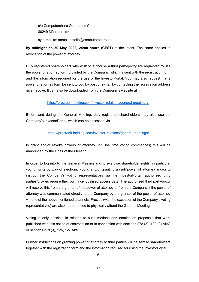c/o Computershare Operations Center, 80249 München, **or**

- by e-mail to: anmeldestelle@computershare.de

**by midnight on 30 May 2022, 24:00 hours (CEST)** at the latest. The same applies to revocation of the power of attorney.

Duly registered shareholders who wish to authorise a third party/proxy are requested to use the power of attorney form provided by the Company, which is sent with the registration form and the information required for the use of the InvestorPortal. You may also request that a power of attorney form be sent to you by post or e-mail by contacting the registration address given above. It can also be downloaded from the Company's website at

### [https://procredit-holding.com/investor-relations/general-meetings/.](https://procredit-holding.com/investor-relations/general-meetings/)

Before and during the General Meeting, duly registered shareholders may also use the Company's InvestorPortal, which can be accessed via

### <https://procredit-holding.com/investor-relations/general-meetings/>

to grant and/or revoke powers of attorney until the time voting commences; this will be announced by the Chair of the Meeting.

In order to log into to the General Meeting and to exercise shareholder rights, in particular voting rights by way of electronic voting and/or granting a (sub)power of attorney and/or to instruct the Company's voting representatives via the InvestorPortal, authorised third parties/proxies require their own individualised access data. The authorised third party/proxy will receive this from the grantor of the power of attorney or from the Company if the power of attorney was communicated directly to the Company by the grantor of the power of attorney via one of the abovementioned channels. Proxies (with the exception of the Company's voting representatives) are also not permitted to physically attend the General Meeting.

Voting is only possible in relation to such motions and nomination proposals that were published with this notice of convocation or in connection with sections 278 (3), 122 (2) AktG or sections 278 (3), 126, 127 AktG.

Further instructions on granting power of attorney to third parties will be sent to shareholders together with the registration form and the information required for using the InvestorPortal.

9.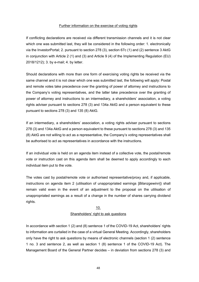#### Further information on the exercise of voting rights

If conflicting declarations are received via different transmission channels and it is not clear which one was submitted last, they will be considered in the following order: 1. electronically via the InvestorPortal; 2. pursuant to section 278 (3), section 67c (1) and (2) sentence 3 AktG in conjunction with Article 2 (1) and (3) and Article 9 (4) of the Implementing Regulation (EU) 2018/1212); 3. by e-mail; 4. by letter.

Should declarations with more than one form of exercising voting rights be received via the same channel and it is not clear which one was submitted last, the following will apply: Postal and remote votes take precedence over the granting of power of attorney and instructions to the Company's voting representatives, and the latter take precedence over the granting of power of attorney and instructions to an intermediary, a shareholders' association, a voting rights adviser pursuant to sections 278 (3) and 134a AktG and a person equivalent to these pursuant to sections 278 (3) and 135 (8) AktG.

If an intermediary, a shareholders' association, a voting rights adviser pursuant to sections 278 (3) and 134a AktG and a person equivalent to these pursuant to sections 278 (3) and 135 (8) AktG are not willing to act as a representative, the Company's voting representatives shall be authorised to act as representatives in accordance with the instructions.

If an individual vote is held on an agenda item instead of a collective vote, the postal/remote vote or instruction cast on this agenda item shall be deemed to apply accordingly to each individual item put to the vote.

The votes cast by postal/remote vote or authorised representative/proxy and, if applicable, instructions on agenda item 2 (utilisation of unappropriated earnings [*Bilanzgewinn*]) shall remain valid even in the event of an adjustment to the proposal on the utilisation of unappropriated earnings as a result of a change in the number of shares carrying dividend rights.

#### 10.

#### Shareholders' right to ask questions

In accordance with section 1 (2) and (8) sentence 1 of the COVID-19 Act, shareholders' rights to information are curtailed in the case of a virtual General Meeting. Accordingly, shareholders only have the right to ask questions by means of electronic channels (section 1 (2) sentence 1 no. 3 and sentence 2, as well as section 1 (8) sentence 1 of the COVID-19 Act). The Management Board of the General Partner decides – in deviation from sections 278 (3) and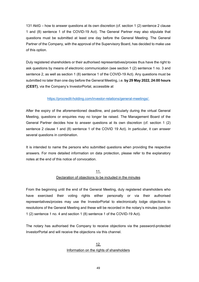131 AktG – how to answer questions at its own discretion (cf. section 1 (2) sentence 2 clause 1 and (8) sentence 1 of the COVID-19 Act). The General Partner may also stipulate that questions must be submitted at least one day before the General Meeting. The General Partner of the Company, with the approval of the Supervisory Board, has decided to make use of this option.

Duly registered shareholders or their authorised representatives/proxies thus have the right to ask questions by means of electronic communication (see section 1 (2) sentence 1 no. 3 and sentence 2, as well as section 1 (8) sentence 1 of the COVID-19 Act). Any questions must be submitted no later than one day before the General Meeting, i.e. **by 29 May 2022, 24:00 hours (CEST)**, via the Company's InvestorPortal, accessible at

### [https://procredit-holding.com/investor-relations/general-meetings/.](https://procredit-holding.com/investor-relations/general-meetings/)

After the expiry of the aforementioned deadline, and particularly during the virtual General Meeting, questions or enquiries may no longer be raised. The Management Board of the General Partner decides how to answer questions at its own discretion (cf. section 1 (2) sentence 2 clause 1 and (8) sentence 1 of the COVID 19 Act). In particular, it can answer several questions in combination.

It is intended to name the persons who submitted questions when providing the respective answers. For more detailed information on data protection, please refer to the explanatory notes at the end of this notice of convocation.

## 11. Declaration of objections to be included in the minutes

From the beginning until the end of the General Meeting, duly registered shareholders who have exercised their voting rights either personally or via their authorised representatives/proxies may use the InvestorPortal to electronically lodge objections to resolutions of the General Meeting and these will be recorded in the notary's minutes (section 1 (2) sentence 1 no. 4 and section 1 (8) sentence 1 of the COVID-19 Act).

The notary has authorised the Company to receive objections via the password-protected InvestorPortal and will receive the objections via this channel.

## 12. Information on the rights of shareholders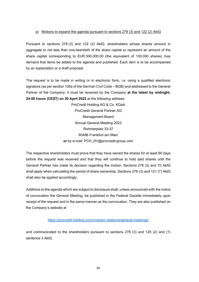### a) Motions to expand the agenda pursuant to sections 278 (3) and 122 (2) AktG

Pursuant to sections 278 (3) and 122 (2) AktG, shareholders whose shares amount in aggregate to not less than one-twentieth of the share capital or represent an amount of the share capital corresponding to EUR 500,000.00 (the equivalent of 100,000 shares) may demand that items be added to the agenda and published. Each item is to be accompanied by an explanation or a draft proposal.

The request is to be made in writing or in electronic form, i.e. using a qualified electronic signature (as per section 126a of the German Civil Code – BGB) and addressed to the General Partner of the Company; it must be received by the Company **at the latest by midnight, 24:00 hours (CEST) on 30 April 2022** at the following address:

> ProCredit Holding AG & Co. KGaA ProCredit General Partner AG Management Board Annual General Meeting 2022 Rohmerplatz 33-37 60486 Frankfurt am Main **or** by e-mail: PCH\_HV@procredit-group.com

The respective shareholders must prove that they have owned the shares for at least 90 days before the request was received and that they will continue to hold said shares until the General Partner has made its decision regarding the motion. Sections 278 (3) and 70 AktG shall apply when calculating the period of share ownership. Sections 278 (3) and 121 (7) AktG shall also be applied accordingly.

Additions to the agenda which are subject to disclosure shall, unless announced with the notice of convocation the General Meeting, be published in the Federal Gazette immediately upon receipt of the request and in the same manner as the convocation. They are also published on the Company's website at

#### <https://procredit-holding.com/investor-relations/general-meetings/>

and communicated to the shareholders pursuant to sections 278 (3) and 125 (2) and (1) sentence 3 AktG.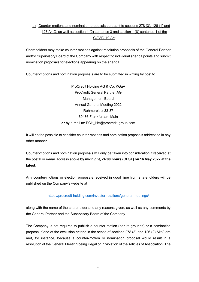# b) Counter-motions and nomination proposals pursuant to sections 278 (3), 126 (1) and 127 AktG, as well as section 1 (2) sentence 3 and section 1 (8) sentence 1 of the COVID-19 Act

Shareholders may make counter-motions against resolution proposals of the General Partner and/or Supervisory Board of the Company with respect to individual agenda points and submit nomination proposals for elections appearing on the agenda.

Counter-motions and nomination proposals are to be submitted in writing by post to

ProCredit Holding AG & Co. KGaA ProCredit General Partner AG Management Board Annual General Meeting 2022 Rohmerplatz 33-37 60486 Frankfurt am Main **or** by e-mail to: PCH\_HV@procredit-group.com

It will not be possible to consider counter-motions and nomination proposals addressed in any other manner.

Counter-motions and nomination proposals will only be taken into consideration if received at the postal or e-mail address above **by midnight, 24:00 hours (CEST) on 16 May 2022 at the latest**.

Any counter-motions or election proposals received in good time from shareholders will be published on the Company's website at

<https://procredit-holding.com/investor-relations/general-meetings/>

along with the name of the shareholder and any reasons given, as well as any comments by the General Partner and the Supervisory Board of the Company.

The Company is not required to publish a counter-motion (nor its grounds) or a nomination proposal if one of the exclusion criteria in the sense of sections 278 (3) and 126 (2) AktG are met, for instance, because a counter-motion or nomination proposal would result in a resolution of the General Meeting being illegal or in violation of the Articles of Association. The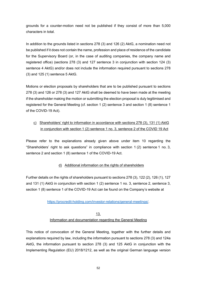grounds for a counter-motion need not be published if they consist of more than 5,000 characters in total.

In addition to the grounds listed in sections 278 (3) and 126 (2) AktG, a nomination need not be published if it does not contain the name, profession and place of residence of the candidate for the Supervisory Board (or, in the case of auditing companies, the company name and registered office) (sections 278 (3) and 127 sentence 3 in conjunction with section 124 (3) sentence 4 AktG) and/or does not include the information required pursuant to sections 278 (3) and 125 (1) sentence 5 AktG.

Motions or election proposals by shareholders that are to be published pursuant to sections 278 (3) and 126 or 278 (3) and 127 AktG shall be deemed to have been made at the meeting if the shareholder making the motion or submitting the election proposal is duly legitimised and registered for the General Meeting (cf. section 1 (2) sentence 3 and section 1 (8) sentence 1 of the COVID-19 Act).

# c) Shareholders' right to information in accordance with sections 278 (3), 131 (1) AktG in conjunction with section 1 (2) sentence 1 no. 3, sentence 2 of the COVID 19 Act

Please refer to the explanations already given above under item 10 regarding the "Shareholders' right to ask questions" in compliance with section 1 (2) sentence 1 no. 3, sentence 2 and section 1 (8) sentence 1 of the COVID-19 Act.

## d) Additional information on the rights of shareholders

Further details on the rights of shareholders pursuant to sections 278 (3), 122 (2), 126 (1), 127 and 131 (1) AktG in conjunction with section 1 (2) sentence 1 no. 3, sentence 2, sentence 3, section 1 (8) sentence 1 of the COVID-19 Act can be found on the Company's website at

[https://procredit-holding.com/investor-relations/general-meetings/.](https://procredit-holding.com/investor-relations/general-meetings/)

# 13. Information and documentation regarding the General Meeting

This notice of convocation of the General Meeting, together with the further details and explanations required by law, including the information pursuant to sections 278 (3) and 124a AktG, the information pursuant to section 278 (3) and 125 AktG in conjunction with the Implementing Regulation (EU) 2018/1212, as well as the original German language version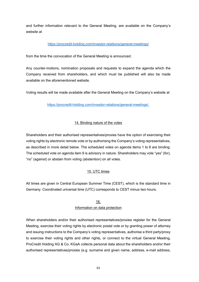and further information relevant to the General Meeting, are available on the Company's website at

## <https://procredit-holding.com/investor-relations/general-meetings/>

from the time the convocation of the General Meeting is announced.

Any counter-motions, nomination proposals and requests to expand the agenda which the Company received from shareholders, and which must be published will also be made available on the aforementioned website.

Voting results will be made available after the General Meeting on the Company's website at

## [https://procredit-holding.com/investor-relations/general-meetings/.](https://procredit-holding.com/investor-relations/general-meetings/)

## 14. Binding nature of the votes

Shareholders and their authorised representatives/proxies have the option of exercising their voting rights by electronic remote vote or by authorising the Company's voting representatives, as described in more detail below. The scheduled votes on agenda items 1 to 8 are binding. The scheduled vote on agenda item 9 is advisory in nature. Shareholders may vote "yes" (for), "no" (against) or abstain from voting (abstention) on all votes.

## 15. UTC times

All times are given in Central European Summer Time (CEST), which is the standard time in Germany. Coordinated universal time (UTC) corresponds to CEST minus two hours.

## 16. Information on data protection

When shareholders and/or their authorised representatives/proxies register for the General Meeting, exercise their voting rights by electronic postal vote or by granting power of attorney and issuing instructions to the Company's voting representatives, authorise a third party/proxy to exercise their voting rights and other rights, or connect to the virtual General Meeting, ProCredit Holding AG & Co. KGaA collects personal data about the shareholders and/or their authorised representatives/proxies (e.g. surname and given name, address, e-mail address,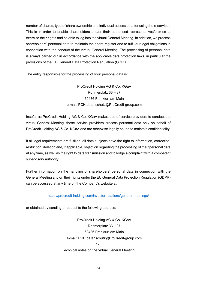number of shares, type of share ownership and individual access data for using the e-service). This is in order to enable shareholders and/or their authorised representatives/proxies to exercise their rights and be able to log into the virtual General Meeting. In addition, we process shareholders' personal data to maintain the share register and to fulfil our legal obligations in connection with the conduct of the virtual General Meeting. The processing of personal data is always carried out in accordance with the applicable data protection laws, in particular the provisions of the EU General Data Protection Regulation (GDPR).

The entity responsible for the processing of your personal data is:

ProCredit Holding AG & Co. KGaA Rohmerplatz 33 – 37 60486 Frankfurt am Main e-mail: PCH.datenschutz@ProCredit-group.com

Insofar as ProCredit Holding AG & Co. KGaA makes use of service providers to conduct the virtual General Meeting, these service providers process personal data only on behalf of ProCredit Holding AG & Co. KGaA and are otherwise legally bound to maintain confidentiality.

If all legal requirements are fulfilled, all data subjects have the right to information, correction, restriction, deletion and, if applicable, objection regarding the processing of their personal data at any time, as well as the right to data transmission and to lodge a complaint with a competent supervisory authority.

Further information on the handling of shareholders' personal data in connection with the General Meeting and on their rights under the EU General Data Protection Regulation (GDPR) can be accessed at any time on the Company's website at

<https://procredit-holding.com/investor-relations/general-meetings/>

or obtained by sending a request to the following address:

ProCredit Holding AG & Co. KGaA Rohmerplatz 33 – 37 60486 Frankfurt am Main e-mail: [PCH.datenschutz@ProCredit-group.com](mailto:pch.datenschutz@procredit-group.com) 17. Technical notes on the virtual General Meeting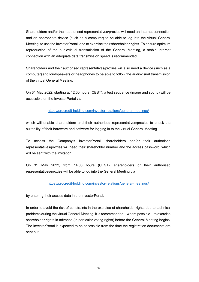Shareholders and/or their authorised representatives/proxies will need an Internet connection and an appropriate device (such as a computer) to be able to log into the virtual General Meeting, to use the InvestorPortal, and to exercise their shareholder rights. To ensure optimum reproduction of the audiovisual transmission of the General Meeting, a stable Internet connection with an adequate data transmission speed is recommended.

Shareholders and their authorised representatives/proxies will also need a device (such as a computer) and loudspeakers or headphones to be able to follow the audiovisual transmission of the virtual General Meeting.

On 31 May 2022, starting at 12:00 hours (CEST), a test sequence (image and sound) will be accessible on the InvestorPortal via

### <https://procredit-holding.com/investor-relations/general-meetings/>

which will enable shareholders and their authorised representatives/proxies to check the suitability of their hardware and software for logging in to the virtual General Meeting.

To access the Company's InvestorPortal, shareholders and/or their authorised representatives/proxies will need their shareholder number and the access password, which will be sent with the invitation.

On 31 May 2022, from 14:00 hours (CEST), shareholders or their authorised representatives/proxies will be able to log into the General Meeting via

#### <https://procredit-holding.com/investor-relations/general-meetings/>

by entering their access data in the InvestorPortal.

In order to avoid the risk of constraints in the exercise of shareholder rights due to technical problems during the virtual General Meeting, it is recommended – where possible – to exercise shareholder rights in advance (in particular voting rights) before the General Meeting begins. The InvestorPortal is expected to be accessible from the time the registration documents are sent out.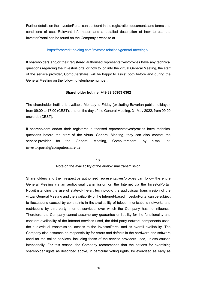Further details on the InvestorPortal can be found in the registration documents and terms and conditions of use. Relevant information and a detailed description of how to use the InvestorPortal can be found on the Company's website at

### [https://procredit-holding.com/investor-relations/general-meetings/.](https://procredit-holding.com/investor-relations/general-meetings/)

If shareholders and/or their registered authorised representatives/proxies have any technical questions regarding the InvestorPortal or how to log into the virtual General Meeting, the staff of the service provider, Computershare, will be happy to assist both before and during the General Meeting on the following telephone number.

### **Shareholder hotline: +49 89 30903 6362**

The shareholder hotline is available Monday to Friday (excluding Bavarian public holidays), from 09:00 to 17:00 (CEST), and on the day of the General Meeting, 31 May 2022, from 09:00 onwards (CEST).

If shareholders and/or their registered authorised representatives/proxies have technical questions before the start of the virtual General Meeting, they can also contact the service provider for the General Meeting, Computershare, by e-mail at: investorportal@computershare.de.

# 18. Note on the availability of the audiovisual transmission

Shareholders and their respective authorised representatives/proxies can follow the entire General Meeting via an audiovisual transmission on the Internet via the InvestorPortal. Notwithstanding the use of state-of-the-art technology, the audiovisual transmission of the virtual General Meeting and the availability of the Internet-based InvestorPortal can be subject to fluctuations caused by constraints in the availability of telecommunications networks and restrictions by third-party Internet services, over which the Company has no influence. Therefore, the Company cannot assume any guarantee or liability for the functionality and constant availability of the Internet services used, the third-party network components used, the audiovisual transmission, access to the InvestorPortal and its overall availability. The Company also assumes no responsibility for errors and defects in the hardware and software used for the online services, including those of the service providers used, unless caused intentionally. For this reason, the Company recommends that the options for exercising shareholder rights as described above, in particular voting rights, be exercised as early as